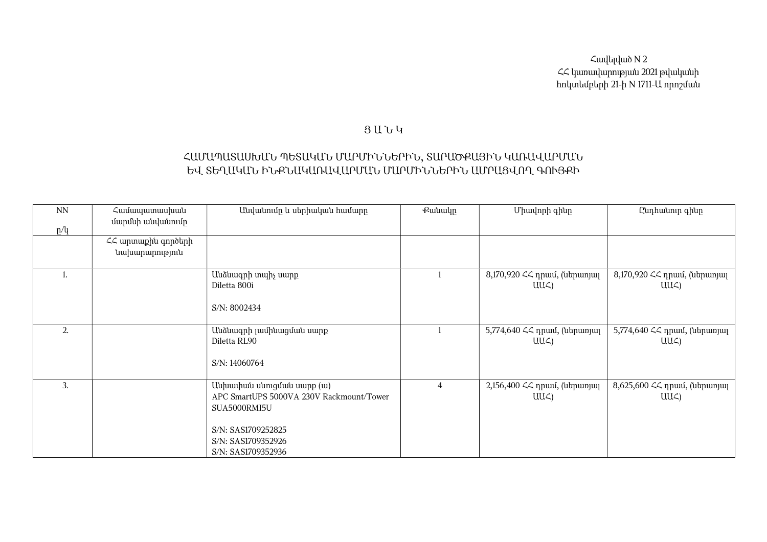Հավելված N 2 ՀՀ կառավարության 2021 թվականի հոկտեմբերի 21-ի N 1711-Ա որոշման

## Ց Ա Ն Կ

## ՀԱՄԱՊԱՏԱՍԽԱՆ ՊԵՏԱԿԱՆ ՄԱՐՄԻՆՆԵՐԻՆ, ՏԱՐԱԾՔԱՅԻՆ ԿԱՌԱՎԱՐՄԱՆ ԵՎ ՏԵՂԱԿԱՆ ԻՆՔՆԱԿԱՌԱՎԱՐՄԱՆ ՄԱՐՄԻՆՆԵՐԻՆ ԱՄՐԱՑՎՈՂ ԳՈՒՅՔԻ

| <b>NN</b> | Համապատասխան                         | Անվանումը և սերիական համարը                                                                                                                             | Քանակր         | Միավորի գինը                                | Ընդհանուր գինը                            |
|-----------|--------------------------------------|---------------------------------------------------------------------------------------------------------------------------------------------------------|----------------|---------------------------------------------|-------------------------------------------|
| p/q       | մարմնի անվանումը                     |                                                                                                                                                         |                |                                             |                                           |
|           | ՀՀ արտաքին գործերի<br>նախարարություն |                                                                                                                                                         |                |                                             |                                           |
|           |                                      | Անձնագրի տպիչ սարք<br>Diletta 800i<br>S/N: 8002434                                                                                                      |                | 8,170,920 << npuu, (ներառյալ<br>$UU\subset$ | 8,170,920 << դրամ, (ներառյալ<br>$UU\zeta$ |
| 2.        |                                      | Անձնագրի լամինացման սարք<br>Diletta RL90<br>S/N: 14060764                                                                                               |                | 5,774,640 << npwu, (ներառյալ<br>UUC)        | 5,774,640 ՀՀ դրամ, (ներառյալ<br>UUC)      |
| 3.        |                                      | Անխափան սնուցման սարք (ա)<br>APC SmartUPS 5000VA 230V Rackmount/Tower<br>SUA5000RMI5U<br>S/N: SAS1709252825<br>S/N: SAS1709352926<br>S/N: SAS1709352936 | $\overline{4}$ | 2,156,400 ՀՀ դրամ, (ներառյալ<br>$UU\subset$ | 8,625,600 << npuu, (utpunjuq<br>$UU\zeta$ |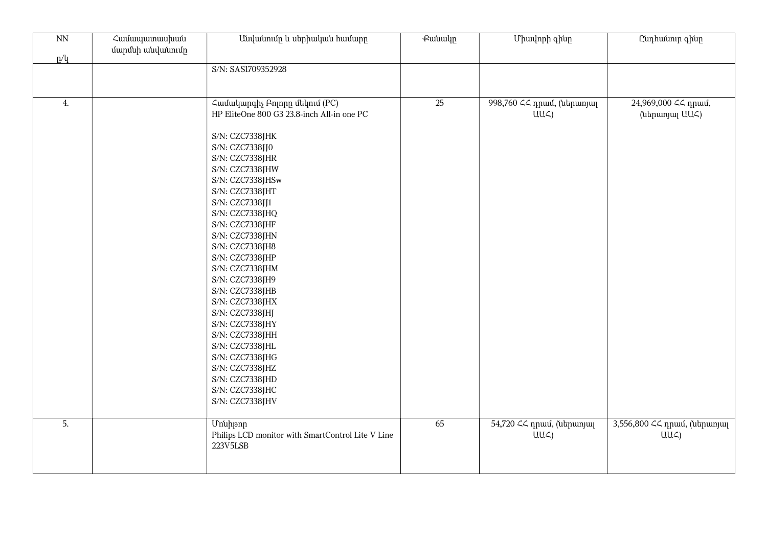| $\overline{NN}$<br>p/q | Համապատասխան<br>մարմնի անվանումը | Անվանումը և սերիական համարը                                                                                                                                                                                                                                                                                                                                                                                                                                                                                                                                             | Քանակը | Միավորի գինը                                   | Ընդհանուր գինը                            |
|------------------------|----------------------------------|-------------------------------------------------------------------------------------------------------------------------------------------------------------------------------------------------------------------------------------------------------------------------------------------------------------------------------------------------------------------------------------------------------------------------------------------------------------------------------------------------------------------------------------------------------------------------|--------|------------------------------------------------|-------------------------------------------|
|                        |                                  | S/N: SAS1709352928                                                                                                                                                                                                                                                                                                                                                                                                                                                                                                                                                      |        |                                                |                                           |
| 4.                     |                                  | Համակարգիչ Բոլորը մեկում (PC)<br>HP EliteOne 800 G3 23.8-inch All-in one PC<br>S/N: CZC7338JHK<br>S/N: CZC7338JJ0<br>S/N: CZC7338JHR<br>S/N: CZC7338JHW<br>S/N: CZC7338JHSw<br>S/N: CZC7338JHT<br>S/N: CZC7338JJ1<br>S/N: CZC7338JHQ<br>S/N: CZC7338JHF<br>S/N: CZC7338JHN<br>S/N: CZC7338JH8<br>S/N: CZC7338JHP<br>S/N: CZC7338JHM<br>S/N: CZC7338JH9<br>S/N: CZC7338JHB<br>S/N: CZC7338JHX<br>S/N: CZC7338JHJ<br>S/N: CZC7338JHY<br>S/N: CZC7338JHH<br>S/N: CZC7338JHL<br>S/N: CZC7338JHG<br>S/N: CZC7338JHZ<br>S/N: CZC7338JHD<br>S/N: CZC7338JHC<br>S/N: CZC7338JHV | 25     | 998,760 << դրամ, (ներառյալ<br>$UU\subset$      | 24,969,000 << npuu,<br>(ներառյալ UU<)     |
| 5.                     |                                  | <b>U</b> nuhpnn<br>Philips LCD monitor with SmartControl Lite ${\rm V}$ Line<br>223V5LSB                                                                                                                                                                                                                                                                                                                                                                                                                                                                                | 65     | 54,720 << npuul, (utapunjuq<br>UU <sub>4</sub> | 3,556,800 << npuu, (utpunjuq<br>$UU\zeta$ |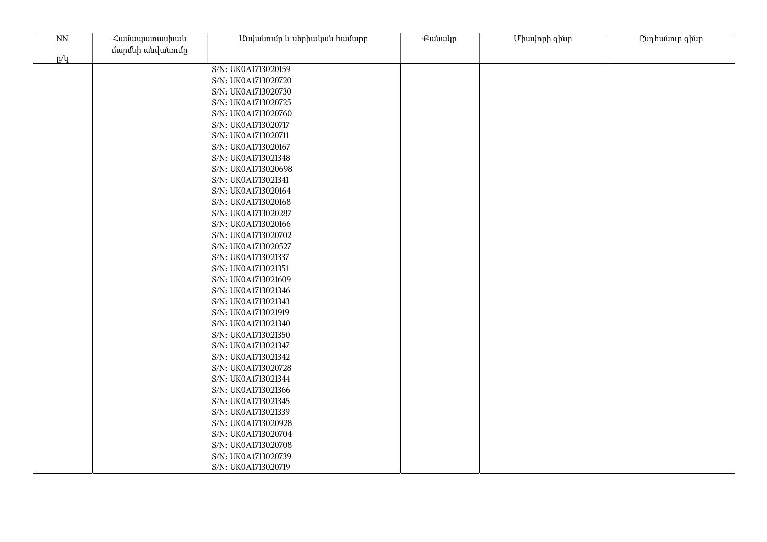| $\mathrm{NN}$ | Համապատասխան     | Անվանումը և սերիական համարը | Քանակը | Միավորի գինը | Ընդհանուր գինը |
|---------------|------------------|-----------------------------|--------|--------------|----------------|
| p/q           | մարմնի անվանումը |                             |        |              |                |
|               |                  | S/N: UK0A1713020159         |        |              |                |
|               |                  | S/N: UK0A1713020720         |        |              |                |
|               |                  | S/N: UK0A1713020730         |        |              |                |
|               |                  | S/N: UK0A1713020725         |        |              |                |
|               |                  | S/N: UK0A1713020760         |        |              |                |
|               |                  | S/N: UK0A1713020717         |        |              |                |
|               |                  | S/N: UK0A1713020711         |        |              |                |
|               |                  | S/N: UK0A1713020167         |        |              |                |
|               |                  | S/N: UK0A1713021348         |        |              |                |
|               |                  | S/N: UK0A1713020698         |        |              |                |
|               |                  | S/N: UK0A1713021341         |        |              |                |
|               |                  | S/N: UK0A1713020164         |        |              |                |
|               |                  | S/N: UK0A1713020168         |        |              |                |
|               |                  | S/N: UK0A1713020287         |        |              |                |
|               |                  | S/N: UK0A1713020166         |        |              |                |
|               |                  | S/N: UK0A1713020702         |        |              |                |
|               |                  | S/N: UK0A1713020527         |        |              |                |
|               |                  | S/N: UK0A1713021337         |        |              |                |
|               |                  | S/N: UK0A1713021351         |        |              |                |
|               |                  | S/N: UK0A1713021609         |        |              |                |
|               |                  | S/N: UK0A1713021346         |        |              |                |
|               |                  | S/N: UK0A1713021343         |        |              |                |
|               |                  | S/N: UK0A1713021919         |        |              |                |
|               |                  | S/N: UK0A1713021340         |        |              |                |
|               |                  | S/N: UK0A1713021350         |        |              |                |
|               |                  | S/N: UK0A1713021347         |        |              |                |
|               |                  | S/N: UK0A1713021342         |        |              |                |
|               |                  | S/N: UK0A1713020728         |        |              |                |
|               |                  | S/N: UK0A1713021344         |        |              |                |
|               |                  | S/N: UK0A1713021366         |        |              |                |
|               |                  | S/N: UK0A1713021345         |        |              |                |
|               |                  | S/N: UK0A1713021339         |        |              |                |
|               |                  | S/N: UK0A1713020928         |        |              |                |
|               |                  | S/N: UK0A1713020704         |        |              |                |
|               |                  | S/N: UK0A1713020708         |        |              |                |
|               |                  | S/N: UK0A1713020739         |        |              |                |
|               |                  | S/N: UK0A1713020719         |        |              |                |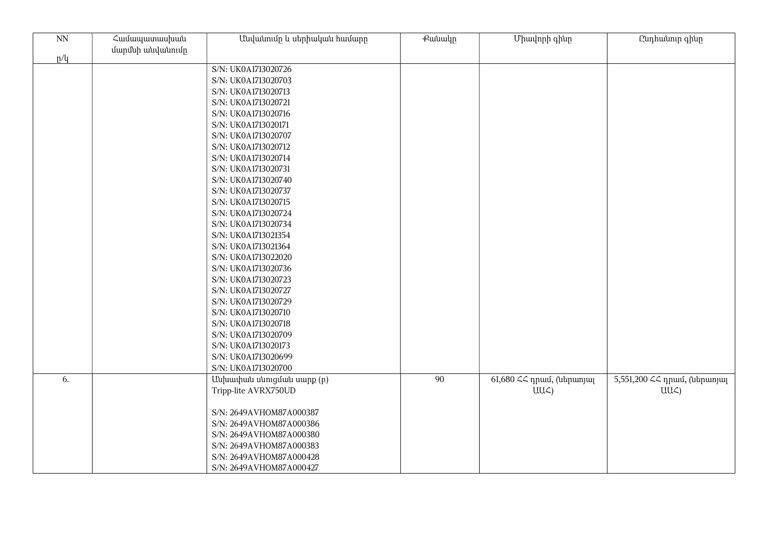| $\overline{NN}$ | Համապատասխան     | Անվանումը և սերիական համարը | <b></b> eutuulp | Միավորի գինը              | Ընդհանուր գինը               |
|-----------------|------------------|-----------------------------|-----------------|---------------------------|------------------------------|
| p/q             | մարմնի անվանումը |                             |                 |                           |                              |
|                 |                  | S/N: UK0A1713020726         |                 |                           |                              |
|                 |                  | S/N: UK0A1713020703         |                 |                           |                              |
|                 |                  | S/N: UK0A1713020713         |                 |                           |                              |
|                 |                  | S/N: UK0A1713020721         |                 |                           |                              |
|                 |                  | S/N: UK0A1713020716         |                 |                           |                              |
|                 |                  | S/N: UK0A1713020171         |                 |                           |                              |
|                 |                  | S/N: UK0A1713020707         |                 |                           |                              |
|                 |                  | S/N: UK0A1713020712         |                 |                           |                              |
|                 |                  | S/N: UK0A1713020714         |                 |                           |                              |
|                 |                  | S/N: UK0A1713020731         |                 |                           |                              |
|                 |                  | S/N: UK0A1713020740         |                 |                           |                              |
|                 |                  | S/N: UK0A1713020737         |                 |                           |                              |
|                 |                  | S/N: UK0A1713020715         |                 |                           |                              |
|                 |                  | S/N: UK0A1713020724         |                 |                           |                              |
|                 |                  | S/N: UK0A1713020734         |                 |                           |                              |
|                 |                  | S/N: UK0A1713021354         |                 |                           |                              |
|                 |                  | S/N: UK0A1713021364         |                 |                           |                              |
|                 |                  | S/N: UK0A1713022020         |                 |                           |                              |
|                 |                  | S/N: UK0A1713020736         |                 |                           |                              |
|                 |                  | S/N: UK0A1713020723         |                 |                           |                              |
|                 |                  | S/N: UK0A1713020727         |                 |                           |                              |
|                 |                  | S/N: UK0A1713020729         |                 |                           |                              |
|                 |                  | S/N: UK0A1713020710         |                 |                           |                              |
|                 |                  | S/N: UK0A1713020718         |                 |                           |                              |
|                 |                  | S/N: UK0A1713020709         |                 |                           |                              |
|                 |                  | S/N: UK0A1713020173         |                 |                           |                              |
|                 |                  | S/N: UK0A1713020699         |                 |                           |                              |
|                 |                  | S/N: UK0A1713020700         |                 |                           |                              |
| 6.              |                  | Անխափան սնուցման սարք (p)   | 90              | 61,680 << դրամ, (ներառյալ | 5,551,200 << npuu, (utpunjuq |
|                 |                  | Tripp-lite AVRX750UD        |                 | $UU\mathcal{L}$           | $UU\mathcal{L}$              |
|                 |                  |                             |                 |                           |                              |
|                 |                  | S/N: 2649AVHOM87A000387     |                 |                           |                              |
|                 |                  | S/N: 2649AVHOM87A000386     |                 |                           |                              |
|                 |                  | S/N: 2649AVHOM87A000380     |                 |                           |                              |
|                 |                  | S/N: 2649AVHOM87A000383     |                 |                           |                              |
|                 |                  | S/N: 2649AVHOM87A000428     |                 |                           |                              |
|                 |                  | S/N: 2649AVHOM87A000427     |                 |                           |                              |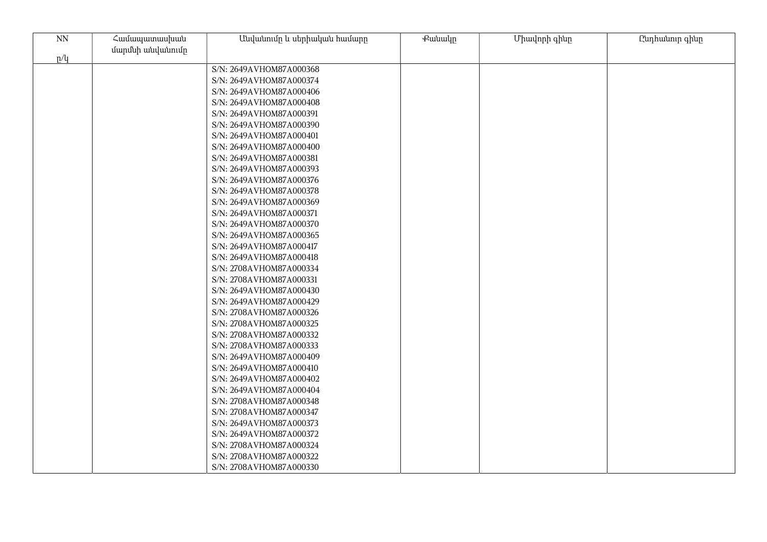| $\ensuremath{\text{NN}}$ | Համապատասխան     | Անվանումը և սերիական համարը | <b></b> eutuulp | Միավորի գինը | Ընդհանուր գինը |
|--------------------------|------------------|-----------------------------|-----------------|--------------|----------------|
| p/q                      | մարմնի անվանումը |                             |                 |              |                |
|                          |                  | S/N: 2649AVHOM87A000368     |                 |              |                |
|                          |                  | S/N: 2649AVHOM87A000374     |                 |              |                |
|                          |                  | S/N: 2649AVHOM87A000406     |                 |              |                |
|                          |                  | S/N: 2649AVHOM87A000408     |                 |              |                |
|                          |                  | S/N: 2649AVHOM87A000391     |                 |              |                |
|                          |                  | S/N: 2649AVHOM87A000390     |                 |              |                |
|                          |                  | S/N: 2649AVHOM87A000401     |                 |              |                |
|                          |                  | S/N: 2649AVHOM87A000400     |                 |              |                |
|                          |                  | S/N: 2649AVHOM87A000381     |                 |              |                |
|                          |                  | S/N: 2649AVHOM87A000393     |                 |              |                |
|                          |                  | S/N: 2649AVHOM87A000376     |                 |              |                |
|                          |                  | S/N: 2649AVHOM87A000378     |                 |              |                |
|                          |                  | S/N: 2649AVHOM87A000369     |                 |              |                |
|                          |                  | S/N: 2649AVHOM87A000371     |                 |              |                |
|                          |                  | S/N: 2649AVHOM87A000370     |                 |              |                |
|                          |                  | S/N: 2649AVHOM87A000365     |                 |              |                |
|                          |                  | S/N: 2649AVHOM87A000417     |                 |              |                |
|                          |                  | S/N: 2649AVHOM87A000418     |                 |              |                |
|                          |                  | S/N: 2708AVHOM87A000334     |                 |              |                |
|                          |                  | S/N: 2708AVHOM87A000331     |                 |              |                |
|                          |                  | S/N: 2649AVHOM87A000430     |                 |              |                |
|                          |                  | S/N: 2649AVHOM87A000429     |                 |              |                |
|                          |                  | S/N: 2708AVHOM87A000326     |                 |              |                |
|                          |                  | S/N: 2708AVHOM87A000325     |                 |              |                |
|                          |                  | S/N: 2708AVHOM87A000332     |                 |              |                |
|                          |                  | S/N: 2708AVHOM87A000333     |                 |              |                |
|                          |                  | S/N: 2649AVHOM87A000409     |                 |              |                |
|                          |                  | S/N: 2649AVHOM87A000410     |                 |              |                |
|                          |                  | S/N: 2649AVHOM87A000402     |                 |              |                |
|                          |                  | S/N: 2649AVHOM87A000404     |                 |              |                |
|                          |                  | S/N: 2708AVHOM87A000348     |                 |              |                |
|                          |                  | S/N: 2708AVHOM87A000347     |                 |              |                |
|                          |                  | S/N: 2649AVHOM87A000373     |                 |              |                |
|                          |                  | S/N: 2649AVHOM87A000372     |                 |              |                |
|                          |                  | S/N: 2708AVHOM87A000324     |                 |              |                |
|                          |                  | S/N: 2708AVHOM87A000322     |                 |              |                |
|                          |                  | S/N: 2708AVHOM87A000330     |                 |              |                |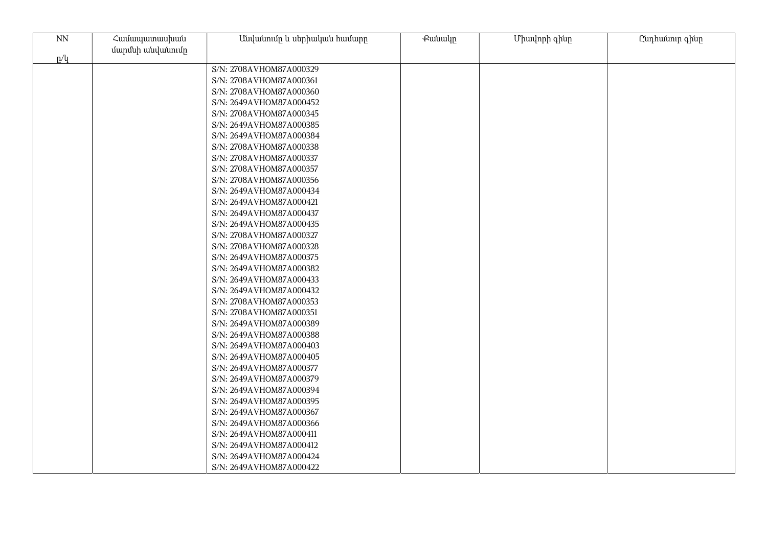| $\ensuremath{\text{NN}}$ | Համապատասխան     | Անվանումը և սերիական համարը                        | <b></b> eutuulp | Միավորի գինը | Ընդհանուր գինը |
|--------------------------|------------------|----------------------------------------------------|-----------------|--------------|----------------|
|                          | մարմնի անվանումը |                                                    |                 |              |                |
| p/q                      |                  |                                                    |                 |              |                |
|                          |                  | S/N: 2708AVHOM87A000329                            |                 |              |                |
|                          |                  | S/N: 2708AVHOM87A000361                            |                 |              |                |
|                          |                  | S/N: 2708AVHOM87A000360                            |                 |              |                |
|                          |                  | S/N: 2649AVHOM87A000452                            |                 |              |                |
|                          |                  | S/N: 2708AVHOM87A000345                            |                 |              |                |
|                          |                  | S/N: 2649AVHOM87A000385                            |                 |              |                |
|                          |                  | S/N: 2649AVHOM87A000384                            |                 |              |                |
|                          |                  | S/N: 2708AVHOM87A000338                            |                 |              |                |
|                          |                  | S/N: 2708AVHOM87A000337                            |                 |              |                |
|                          |                  | S/N: 2708AVHOM87A000357                            |                 |              |                |
|                          |                  | S/N: 2708AVHOM87A000356                            |                 |              |                |
|                          |                  | S/N: 2649AVHOM87A000434                            |                 |              |                |
|                          |                  | S/N: 2649AVHOM87A000421                            |                 |              |                |
|                          |                  | S/N: 2649AVHOM87A000437                            |                 |              |                |
|                          |                  | S/N: 2649AVHOM87A000435<br>S/N: 2708AVHOM87A000327 |                 |              |                |
|                          |                  |                                                    |                 |              |                |
|                          |                  | S/N: 2708AVHOM87A000328                            |                 |              |                |
|                          |                  | S/N: 2649AVHOM87A000375<br>S/N: 2649AVHOM87A000382 |                 |              |                |
|                          |                  | S/N: 2649AVHOM87A000433                            |                 |              |                |
|                          |                  | S/N: 2649AVHOM87A000432                            |                 |              |                |
|                          |                  | S/N: 2708AVHOM87A000353                            |                 |              |                |
|                          |                  | S/N: 2708AVHOM87A000351                            |                 |              |                |
|                          |                  | S/N: 2649AVHOM87A000389                            |                 |              |                |
|                          |                  |                                                    |                 |              |                |
|                          |                  | S/N: 2649AVHOM87A000388<br>S/N: 2649AVHOM87A000403 |                 |              |                |
|                          |                  |                                                    |                 |              |                |
|                          |                  | S/N: 2649AVHOM87A000405<br>S/N: 2649AVHOM87A000377 |                 |              |                |
|                          |                  | S/N: 2649AVHOM87A000379                            |                 |              |                |
|                          |                  | S/N: 2649AVHOM87A000394                            |                 |              |                |
|                          |                  | S/N: 2649AVHOM87A000395                            |                 |              |                |
|                          |                  | S/N: 2649AVHOM87A000367                            |                 |              |                |
|                          |                  | S/N: 2649AVHOM87A000366                            |                 |              |                |
|                          |                  | S/N: 2649AVHOM87A000411                            |                 |              |                |
|                          |                  | S/N: 2649AVHOM87A000412                            |                 |              |                |
|                          |                  | S/N: 2649AVHOM87A000424                            |                 |              |                |
|                          |                  |                                                    |                 |              |                |
|                          |                  | S/N: 2649AVHOM87A000422                            |                 |              |                |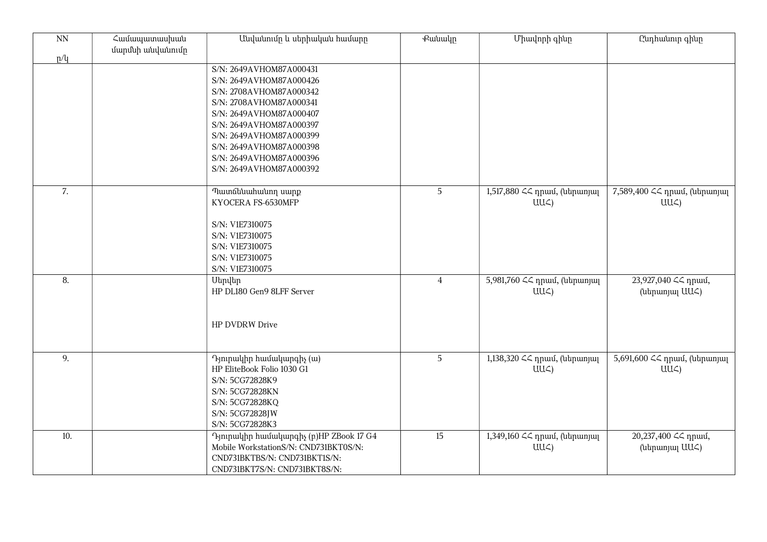| $\overline{NN}$ | Համապատասխան<br>մարմնի անվանումը | Անվանումը և սերիական համարը                                                                                                                                                                                                                                                | <b></b> eutuuln | Միավորի գինը                                    | Ընդհանուր գինը                                      |
|-----------------|----------------------------------|----------------------------------------------------------------------------------------------------------------------------------------------------------------------------------------------------------------------------------------------------------------------------|-----------------|-------------------------------------------------|-----------------------------------------------------|
| p/q             |                                  | S/N: 2649AVHOM87A000431<br>S/N: 2649AVHOM87A000426<br>S/N: 2708AVHOM87A000342<br>S/N: 2708AVHOM87A000341<br>S/N: 2649AVHOM87A000407<br>S/N: 2649AVHOM87A000397<br>S/N: 2649AVHOM87A000399<br>S/N: 2649AVHOM87A000398<br>S/N: 2649AVHOM87A000396<br>S/N: 2649AVHOM87A000392 |                 |                                                 |                                                     |
| 7.              |                                  | Պատճենահանող սարք<br>KYOCERA FS-6530MFP<br>S/N: V1E7310075<br>S/N: V1E7310075<br>S/N: V1E7310075<br>S/N: V1E7310075<br>S/N: V1E7310075                                                                                                                                     | 5               | 1,517,880 << դրամ, (ներառյալ<br>UU <sub>4</sub> | 7,589,400 << npuu, (ներառյալ<br>$UU\mathcal{L}$     |
| 8.              |                                  | Սերվեր<br>HP DL180 Gen9 8LFF Server<br>HP DVDRW Drive                                                                                                                                                                                                                      | $\overline{4}$  | 5,981,760 << npuu, (utpunjuq<br>UU <sub>4</sub> | 23,927,040 <<< <r></r> npuu<br>0,<br>(ներառյալ UUՀ) |
| 9.              |                                  | Դյուրակիր համակարգիչ (ա)<br>HP EliteBook Folio 1030 G1<br>S/N: 5CG72828K9<br>S/N: 5CG72828KN<br>S/N: 5CG72828KQ<br>S/N: 5CG72828JW<br>S/N: 5CG72828K3                                                                                                                      | 5               | 1,138,320 << դրամ, (ներառյալ<br>UU <sub>4</sub> | 5,691,600 << npuu, (utpunjuq<br>UU<)                |
| 10.             |                                  | Դյուրակիր համակարգիչ (p)HP ZBook 17 G4<br>Mobile WorkstationS/N: CND731BKT0S/N:<br>CND731BKTBS/N: CND731BKT1S/N:<br>CND731BKT7S/N: CND731BKT8S/N:                                                                                                                          | 15              | 1,349,160 ՀՀ դրամ, (ներառյալ<br>$UU\subset$     | 20,237,400 <<< npuu<br>0,<br>(ներառյալ UUՀ)         |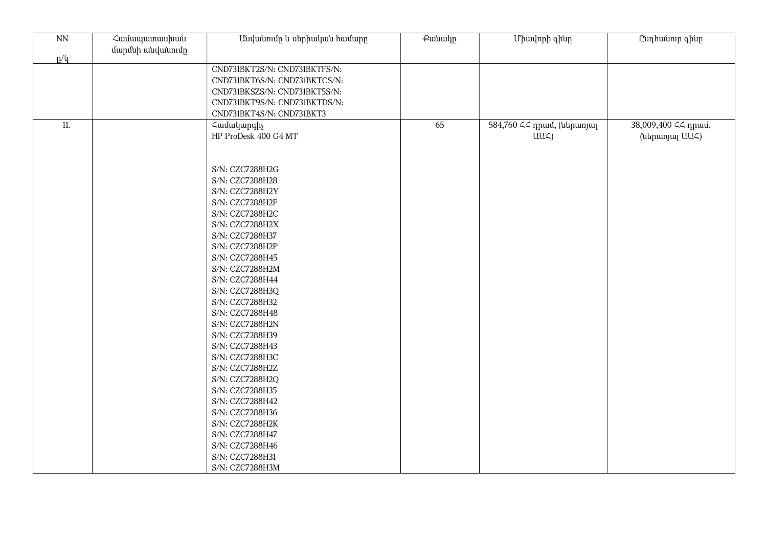| $\overline{\text{NN}}$ | Համապատասխան<br>մարմնի անվանումը | Անվանումը և սերիական համարը                                                                                                                                                                                                                                                                                                                                                              | <b></b> eutuulp | Միավորի գինը                                  | Ընդհանուր գինը                          |
|------------------------|----------------------------------|------------------------------------------------------------------------------------------------------------------------------------------------------------------------------------------------------------------------------------------------------------------------------------------------------------------------------------------------------------------------------------------|-----------------|-----------------------------------------------|-----------------------------------------|
| p/q                    |                                  |                                                                                                                                                                                                                                                                                                                                                                                          |                 |                                               |                                         |
|                        |                                  | CND731BKT2S/N: CND731BKTFS/N:<br>CND731BKT6S/N: CND731BKTCS/N:<br>CND731BKSZS/N: CND731BKT5S/N:<br>CND731BKT9S/N: CND731BKTDS/N:<br>CND731BKT4S/N: CND731BKT3                                                                                                                                                                                                                            |                 |                                               |                                         |
| 11.                    |                                  | Համակարգիչ<br>HP ProDesk 400 G4 MT                                                                                                                                                                                                                                                                                                                                                       | 65              | 584,760 << npwu, (ներառյալ<br>$UU\mathcal{L}$ | 38,009,400 <<< npuu0,<br>(ներառյալ UU<) |
|                        |                                  | S/N: CZC7288H2G<br>S/N: CZC7288H28<br>S/N: CZC7288H2Y<br>S/N: CZC7288H2F<br>S/N: CZC7288H2C<br>S/N: CZC7288H2X<br>S/N: CZC7288H37<br>S/N: CZC7288H2P<br>S/N: CZC7288H45<br>S/N: CZC7288H2M<br>S/N: CZC7288H44<br>S/N: CZC7288H3Q<br>S/N: CZC7288H32<br>S/N: CZC7288H48<br>S/N: CZC7288H2N<br>S/N: CZC7288H39<br>S/N: CZC7288H43<br>S/N: CZC7288H3C<br>S/N: CZC7288H2Z<br>S/N: CZC7288H2Q |                 |                                               |                                         |
|                        |                                  | S/N: CZC7288H35<br>S/N: CZC7288H42<br>S/N: CZC7288H36<br>S/N: CZC7288H2K<br>S/N: CZC7288H47<br>S/N: CZC7288H46<br>S/N: CZC7288H31<br>S/N: CZC7288H3M                                                                                                                                                                                                                                     |                 |                                               |                                         |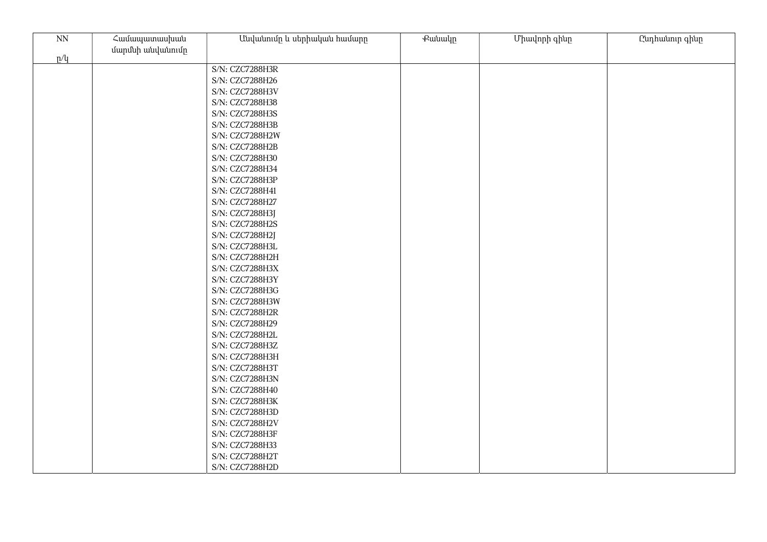| $\mathrm{NN}$ | Համապատասխան     | Անվանումը և սերիական համարը        | Քանակը | Միավորի գինը | Ընդհանուր գինը |
|---------------|------------------|------------------------------------|--------|--------------|----------------|
|               | մարմնի անվանումը |                                    |        |              |                |
| p/q           |                  | S/N: CZC7288H3R                    |        |              |                |
|               |                  | S/N: CZC7288H26                    |        |              |                |
|               |                  | S/N: CZC7288H3V                    |        |              |                |
|               |                  | S/N: CZC7288H38                    |        |              |                |
|               |                  |                                    |        |              |                |
|               |                  | S/N: CZC7288H3S<br>S/N: CZC7288H3B |        |              |                |
|               |                  |                                    |        |              |                |
|               |                  | S/N: CZC7288H2W                    |        |              |                |
|               |                  | S/N: CZC7288H2B                    |        |              |                |
|               |                  | S/N: CZC7288H30                    |        |              |                |
|               |                  | S/N: CZC7288H34<br>S/N: CZC7288H3P |        |              |                |
|               |                  |                                    |        |              |                |
|               |                  | S/N: CZC7288H41                    |        |              |                |
|               |                  | S/N: CZC7288H27                    |        |              |                |
|               |                  | S/N: CZC7288H3J                    |        |              |                |
|               |                  | S/N: CZC7288H2S                    |        |              |                |
|               |                  | S/N: CZC7288H2J                    |        |              |                |
|               |                  | S/N: CZC7288H3L                    |        |              |                |
|               |                  | S/N: CZC7288H2H                    |        |              |                |
|               |                  | S/N: CZC7288H3X                    |        |              |                |
|               |                  | S/N: CZC7288H3Y                    |        |              |                |
|               |                  | S/N: CZC7288H3G                    |        |              |                |
|               |                  | S/N: CZC7288H3W                    |        |              |                |
|               |                  | S/N: CZC7288H2R                    |        |              |                |
|               |                  | S/N: CZC7288H29                    |        |              |                |
|               |                  | S/N: CZC7288H2L                    |        |              |                |
|               |                  | S/N: CZC7288H3Z                    |        |              |                |
|               |                  | S/N: CZC7288H3H                    |        |              |                |
|               |                  | S/N: CZC7288H3T                    |        |              |                |
|               |                  | S/N: CZC7288H3N                    |        |              |                |
|               |                  | S/N: CZC7288H40                    |        |              |                |
|               |                  | S/N: CZC7288H3K                    |        |              |                |
|               |                  | S/N: CZC7288H3D                    |        |              |                |
|               |                  | S/N: CZC7288H2V                    |        |              |                |
|               |                  | S/N: CZC7288H3F                    |        |              |                |
|               |                  | S/N: CZC7288H33                    |        |              |                |
|               |                  | S/N: CZC7288H2T                    |        |              |                |
|               |                  | S/N: CZC7288H2D                    |        |              |                |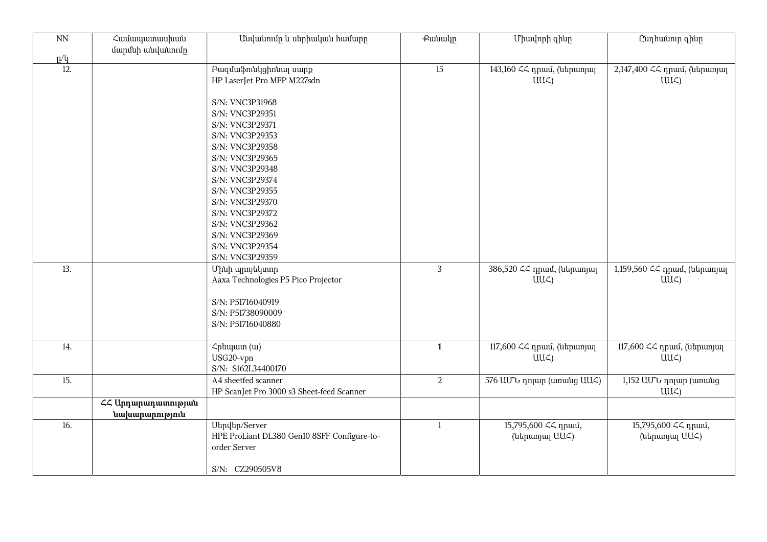| $\overline{NN}$   | Համապատասխան<br>մարմնի անվանումը     | Անվանումը և սերիական համարը                                                                                                                                                                                                      | <b>Putuulp</b> | Միավորի գինը                                | Ընդհանուր գինը                                  |
|-------------------|--------------------------------------|----------------------------------------------------------------------------------------------------------------------------------------------------------------------------------------------------------------------------------|----------------|---------------------------------------------|-------------------------------------------------|
| p/q               |                                      |                                                                                                                                                                                                                                  |                |                                             |                                                 |
| $\overline{12}$ . |                                      | Բազմաֆունկցիոնալ սարք<br>HP LaserJet Pro MFP M227sdn                                                                                                                                                                             | 15             | 143,160 << դրամ, (ներառյալ<br>$UU\subset$ ) | 2,147,400 << npuul, (utrpuunjuu<br>$UU\subset$  |
|                   |                                      | S/N: VNC3P31968<br>S/N: VNC3P29351<br>S/N: VNC3P29371<br>S/N: VNC3P29353<br>S/N: VNC3P29358<br>S/N: VNC3P29365<br>S/N: VNC3P29348<br>S/N: VNC3P29374<br>S/N: VNC3P29355<br>S/N: VNC3P29370<br>S/N: VNC3P29372<br>S/N: VNC3P29362 |                |                                             |                                                 |
|                   |                                      | S/N: VNC3P29369<br>S/N: VNC3P29354<br>S/N: VNC3P29359                                                                                                                                                                            |                |                                             |                                                 |
| 13.               |                                      | Մինի պրոյեկտոր<br>Aaxa Technologies P5 Pico Projector<br>S/N: P51716040919<br>S/N: P51738090009<br>S/N: P51716040880                                                                                                             | $\mathbf{3}$   | 386,520 << npwu, (utpwnjwj<br>$UU\subset$   | 1,159,560 << դրամ, (ներառյալ<br>UU <sub>4</sub> |
| 14.               |                                      | Հրեպատ (ա)<br>USG20-vpn<br>S/N: S162L34400170                                                                                                                                                                                    | $\mathbf{1}$   | 117,600 << դրամ, (ներառյալ<br>$UU\subset$   | 117,600 << դրամ, (ներառյալ<br>UU <sub>4</sub>   |
| 15.               |                                      | A4 sheetfed scanner<br>HP ScanJet Pro 3000 s3 Sheet-feed Scanner                                                                                                                                                                 | $\overline{2}$ | 576 UU to nnjum (wnwug UU <)                | 1,152 UU v nnun (wnwug<br>UUC)                  |
|                   | ՀՀ Արդարադատության<br>նախարարություն |                                                                                                                                                                                                                                  |                |                                             |                                                 |
| 16.               |                                      | Utinultin/Server<br>HPE ProLiant DL380 Gen10 8SFF Configure-to-<br>order Server<br>S/N: CZ290505V8                                                                                                                               | $\mathbf{1}$   | 15,795,600 << npuu 6,<br>(utinumuu UU<)     | 15,795,600 << npuu,<br>(utipunjuj UU<)          |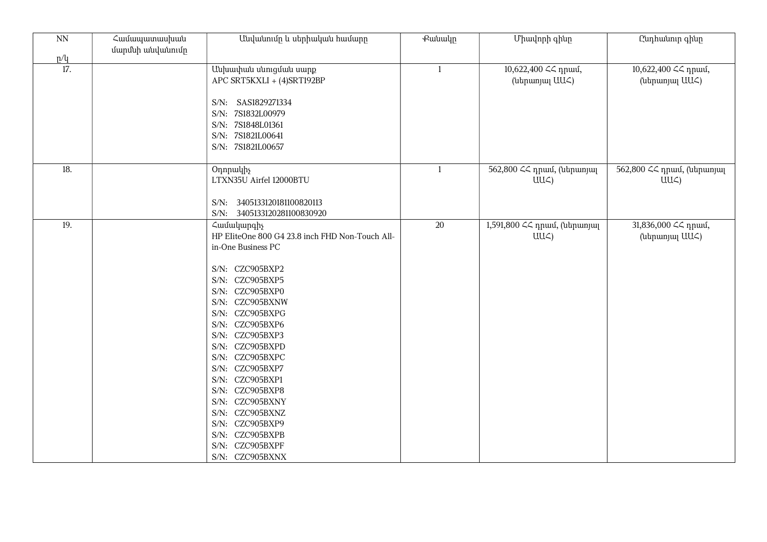| $\rm NN$                 | Համապատասխան<br>մարմնի անվանումը | Անվանումը և սերիական համարը                                                                                                                                                                                                                                                                                                                                                                                                               | <b></b> eutuulp | Միավորի գինը                                    | Ընդհանուր գինը                                |
|--------------------------|----------------------------------|-------------------------------------------------------------------------------------------------------------------------------------------------------------------------------------------------------------------------------------------------------------------------------------------------------------------------------------------------------------------------------------------------------------------------------------------|-----------------|-------------------------------------------------|-----------------------------------------------|
| p/q<br>$\overline{17}$ . |                                  | Անխափան սնուցման սարք<br>APC SRT5KXLI + (4)SRT192BP<br>S/N: SAS1829271334<br>S/N: 7S1832L00979<br>S/N: 7S1848L01361<br>S/N: 7S1821L00641<br>S/N: 7S1821L00657                                                                                                                                                                                                                                                                             | 1               | 10,622,400 << npuu,<br>(utinumuu UU<)           | 10,622,400 << npuu,<br>(utipunjuj UU<)        |
| 18.                      |                                  | Onnpullh<br>LTXN35U Airfel 12000BTU<br>S/N: 3405133120181100820113<br>S/N: 3405133120281100830920                                                                                                                                                                                                                                                                                                                                         | 1               | 562,800 << դրամ, (ներառյալ<br>$UU\subset$       | 562,800 ՀՀ դրամ, (ներառյալ<br>$UU\mathcal{L}$ |
| 19.                      |                                  | Համակարգիչ<br>HP EliteOne 800 G4 23.8 inch FHD Non-Touch All-<br>in-One Business PC<br>S/N: CZC905BXP2<br>S/N: CZC905BXP5<br>S/N: CZC905BXP0<br>S/N: CZC905BXNW<br>S/N: CZC905BXPG<br>S/N: CZC905BXP6<br>S/N: CZC905BXP3<br>S/N: CZC905BXPD<br>S/N: CZC905BXPC<br>S/N: CZC905BXP7<br>S/N: CZC905BXP1<br>S/N: CZC905BXP8<br>S/N: CZC905BXNY<br>S/N: CZC905BXNZ<br>S/N: CZC905BXP9<br>S/N: CZC905BXPB<br>S/N: CZC905BXPF<br>S/N: CZC905BXNX | 20              | 1,591,800 ՀՀ դրամ, (ներառյալ<br>UU <sub>4</sub> | 31,836,000 << npuul,<br>(ներառյալ UUՀ)        |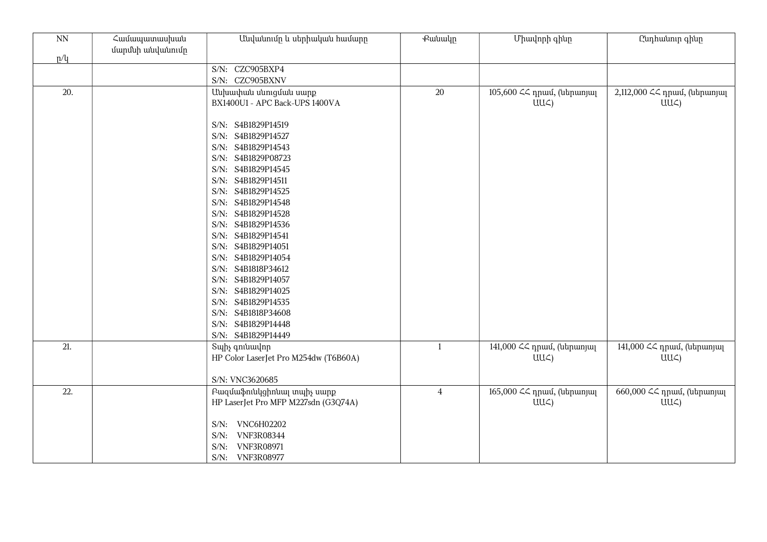| $\rm NN$<br>p/q | Համապատասխան<br>մարմնի անվանումը | Անվանումը և սերիական համարը                                                                        | <b>Putuuln</b> | Միավորի գինը                                  | Ընդհանուր գինը                                |
|-----------------|----------------------------------|----------------------------------------------------------------------------------------------------|----------------|-----------------------------------------------|-----------------------------------------------|
|                 |                                  | S/N: CZC905BXP4<br>S/N: CZC905BXNV                                                                 |                |                                               |                                               |
| 20.             |                                  | Անխափան սնուցման սարք<br>BX1400U1 - APC Back-UPS 1400VA                                            | 20             | 105,600 << դրամ, (ներառյալ<br>$UU\zeta$       | 2,112,000 << npwu, (utpwnjw<br>$UU\subset$    |
|                 |                                  | S/N: S4B1829P14519<br>S/N: S4B1829P14527<br>S/N: S4B1829P14543<br>S/N: S4B1829P08723               |                |                                               |                                               |
|                 |                                  | S/N: S4B1829P14545<br>S/N: S4B1829P14511<br>S/N: S4B1829P14525                                     |                |                                               |                                               |
|                 |                                  | S/N: S4B1829P14548<br>S/N: S4B1829P14528<br>S/N: S4B1829P14536                                     |                |                                               |                                               |
|                 |                                  | S/N: S4B1829P14541<br>S/N: S4B1829P14051<br>S/N: S4B1829P14054                                     |                |                                               |                                               |
|                 |                                  | S/N: S4B1818P34612<br>S/N: S4B1829P14057<br>S/N: S4B1829P14025                                     |                |                                               |                                               |
|                 |                                  | S/N: S4B1829P14535<br>S/N: S4B1818P34608<br>S/N: S4B1829P14448                                     |                |                                               |                                               |
|                 |                                  | S/N: S4B1829P14449                                                                                 |                |                                               |                                               |
| 21.             |                                  | Sulhy qniuuulnn<br>HP Color LaserJet Pro M254dw (T6B60A)                                           | $\mathbf{1}$   | 141,000 << դրամ, (ներառյալ<br>$UU\mathcal{L}$ | 141,000 << դրամ, (ներառյալ<br>UU <sub>4</sub> |
|                 |                                  | S/N: VNC3620685                                                                                    |                |                                               |                                               |
| 22.             |                                  | Բազմաֆունկցիոնալ տպիչ սարք<br>HP LaserJet Pro MFP M227sdn (G3Q74A)                                 | $\overline{4}$ | 165,000 ՀՀ դրամ, (ներառյալ<br>$UU\mathcal{L}$ | 660,000 ՀՀ դրամ, (ներառյալ<br>$UU\subset$     |
|                 |                                  | S/N: VNC6H02202<br><b>VNF3R08344</b><br>$S/N$ :<br><b>VNF3R08971</b><br>$S/N$ :<br>S/N: VNF3R08977 |                |                                               |                                               |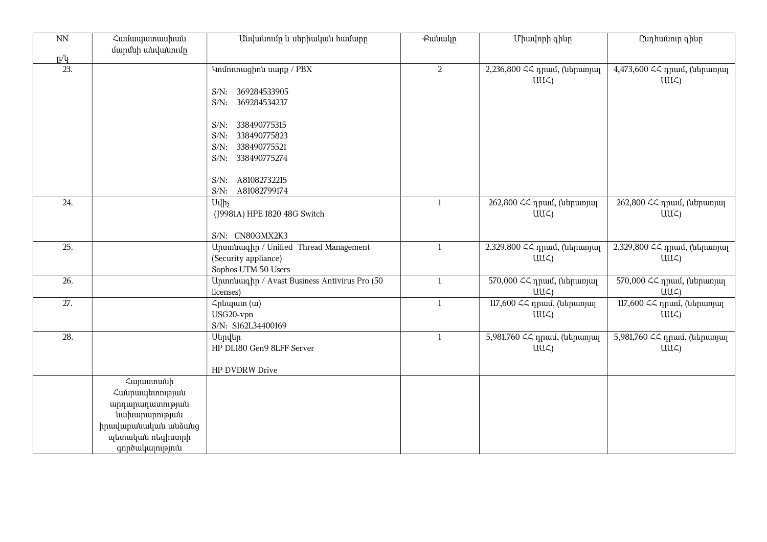| NN  | Համապատասխան<br>մարմնի անվանումը                                                                                              | Անվանումը և սերիական համարը                                                                                                                     | <b></b> eutuulp | Միավորի գինը                                  | Ընդհանուր գինը                                 |
|-----|-------------------------------------------------------------------------------------------------------------------------------|-------------------------------------------------------------------------------------------------------------------------------------------------|-----------------|-----------------------------------------------|------------------------------------------------|
| p/l |                                                                                                                               |                                                                                                                                                 |                 |                                               |                                                |
| 23. |                                                                                                                               | S/N: 369284533905<br>S/N: 369284534237<br>S/N: 338490775315<br>S/N: 338490775823<br>S/N: 338490775521<br>S/N: 338490775274<br>S/N: A81082732215 | 2               | 2,236,800 << npuu, (utpunjuq<br>$UU\subset$ ) | 4,473,600 << npuu, (utpunuu<br>$UU\mathcal{L}$ |
| 24. |                                                                                                                               | A81082799174<br>$S/N$ :<br><b>U</b> uh <sub>s</sub><br>(J9981A) HPE 1820 48G Switch<br>S/N: CN80GMX2K3                                          | $\mathbf{1}$    | 262,800 ՀՀ դրամ, (ներառյալ<br>$UU\subset$     | 262,800 << դրամ, (ներառյալ<br>$UU\subset$      |
| 25. |                                                                                                                               | Ununuuqhn / Unified Thread Management<br>(Security appliance)<br>Sophos UTM 50 Users                                                            | $\mathbf{1}$    | 2,329,800 << npuu, (utpunuu<br>$UU\subset$    | 2,329,800 << npuu, (utpunuu<br>$UU\subset$     |
| 26. |                                                                                                                               | Upunnuuqhp / Avast Business Antivirus Pro (50<br>licenses)                                                                                      | $\mathbf{1}$    | 570,000 ՀՀ դրամ, (ներառյալ<br>$UU\subset$ )   | 570,000 << դրամ, (ներառյալ<br>$UU\subset$      |
| 27. |                                                                                                                               | Հրեպատ (ա)<br>USG20-vpn<br>S/N: S162L34400169                                                                                                   | $\mathbf{1}$    | 117,600 ՀՀ դրամ, (ներառյալ<br>$UU\subset$     | 117,600 << դրամ, (ներառյալ<br>UU <sub>4</sub>  |
| 28. |                                                                                                                               | Սերվեր<br>HP DL180 Gen9 8LFF Server<br>HP DVDRW Drive                                                                                           | 1               | 5,981,760 << npwu, (ներառյալ<br>$UU\subset$   | 5,981,760 << npwu, (utrpwnjwl<br>$UU\subset$   |
|     | Հայաստանի<br>Հանրապետության<br>արդարադատության<br>նախարարության<br>իրավաբանական անձանց<br>պետական ռեգիստրի<br>գործակալություն |                                                                                                                                                 |                 |                                               |                                                |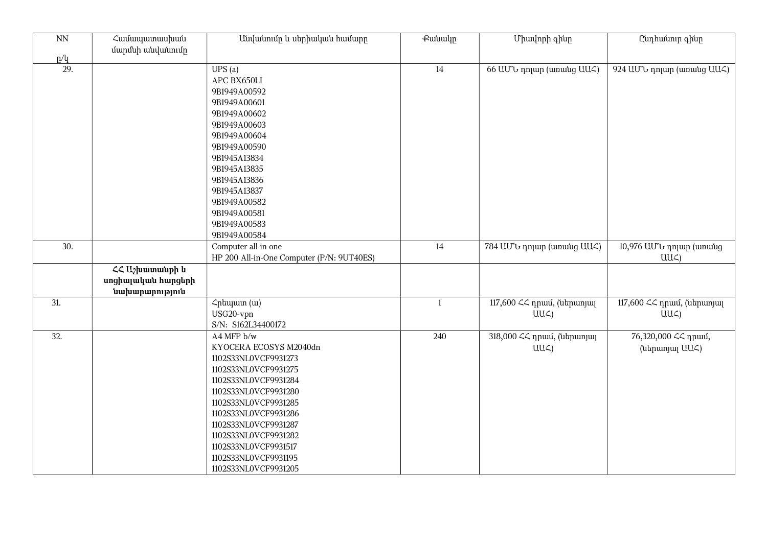| $\overline{NN}$ | Համապատասխան<br>մարմնի անվանումը                                                             | Անվանումը և սերիական համարը                                                                                                                                                                                                                                                                                  | <b></b> eutuulp | Միավորի գինը                                  | Ընդհանուր գինը                             |
|-----------------|----------------------------------------------------------------------------------------------|--------------------------------------------------------------------------------------------------------------------------------------------------------------------------------------------------------------------------------------------------------------------------------------------------------------|-----------------|-----------------------------------------------|--------------------------------------------|
| p/q             |                                                                                              |                                                                                                                                                                                                                                                                                                              |                 |                                               |                                            |
| 29.             |                                                                                              | UPS(a)<br>APC BX650LI<br>9B1949A00592<br>9B1949A00601<br>9B1949A00602<br>9B1949A00603<br>9B1949A00604<br>9B1949A00590<br>9B1945A13834<br>9B1945A13835<br>9B1945A13836<br>9B1945A13837<br>9B1949A00582<br>9B1949A00581<br>9B1949A00583<br>9B1949A00584                                                        | 14              | 66 ԱՄՆ դոլար (առանց ԱԱՀ)                      | 924 UU v nnun (wnwug UU )                  |
| 30.             |                                                                                              | Computer all in one<br>HP 200 All-in-One Computer (P/N: 9UT40ES)                                                                                                                                                                                                                                             | $14\,$          | 784 UU to nnjum (wnwug UU )                   | 10,976 ԱՄՆ դոլար (առանց<br>UU <sub>4</sub> |
|                 | $\mathcal{L}\mathcal{L}$ U <sub>2</sub> huun wuph lu<br>սոցիալական հարցերի<br>նախարարություն |                                                                                                                                                                                                                                                                                                              |                 |                                               |                                            |
| 31.             |                                                                                              | Հրեպատ (ա)<br>USG20-vpn<br>S/N: S162L34400172                                                                                                                                                                                                                                                                | $\mathbf{1}$    | 117,600 << դրամ, (ներառյալ<br>$UU\mathcal{L}$ | 117,600 << դրամ, (ներառյալ<br>$UU\zeta$    |
| 32.             |                                                                                              | A4 MFP b/w<br>KYOCERA ECOSYS M2040dn<br>1102S33NL0VCF9931273<br>1102S33NL0VCF9931275<br>1102S33NL0VCF9931284<br>1102S33NL0VCF9931280<br>1102S33NL0VCF9931285<br>1102S33NL0VCF9931286<br>1102S33NL0VCF9931287<br>1102S33NL0VCF9931282<br>1102S33NL0VCF9931517<br>1102S33NL0VCF9931195<br>1102S33NL0VCF9931205 | 240             | 318,000 << դրամ, (ներառյալ<br>$UU\subset$     | 76,320,000 << npuu,<br>(utipunjuj UU<)     |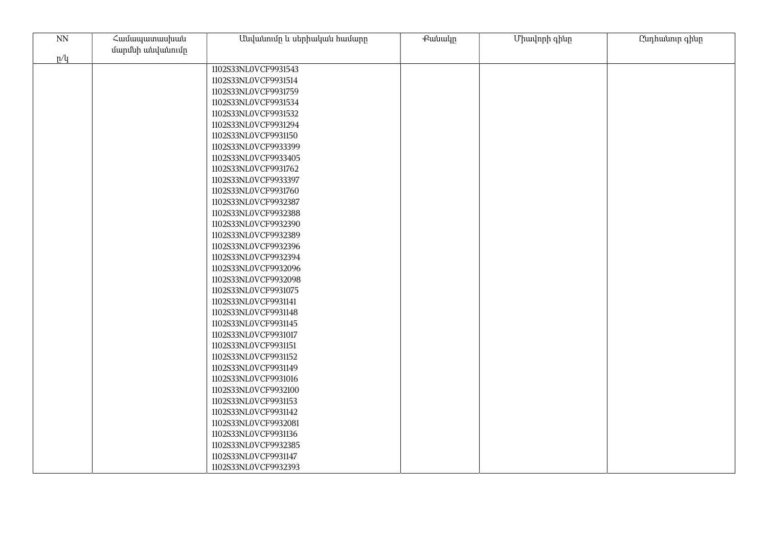| $\mathop{\rm NN}\nolimits$ | Համապատասխան     | Անվանումը և սերիական համարը | Քանակը | Միավորի գինը | Ընդհանուր գինը |
|----------------------------|------------------|-----------------------------|--------|--------------|----------------|
| p/q                        | մարմնի անվանումը |                             |        |              |                |
|                            |                  | 1102S33NL0VCF9931543        |        |              |                |
|                            |                  | 1102S33NL0VCF9931514        |        |              |                |
|                            |                  | 1102S33NL0VCF9931759        |        |              |                |
|                            |                  | 1102S33NL0VCF9931534        |        |              |                |
|                            |                  | 1102S33NL0VCF9931532        |        |              |                |
|                            |                  | 1102S33NL0VCF9931294        |        |              |                |
|                            |                  | 1102S33NL0VCF9931150        |        |              |                |
|                            |                  | 1102S33NL0VCF9933399        |        |              |                |
|                            |                  | 1102S33NL0VCF9933405        |        |              |                |
|                            |                  | 1102S33NL0VCF9931762        |        |              |                |
|                            |                  | 1102S33NL0VCF9933397        |        |              |                |
|                            |                  | 1102S33NL0VCF9931760        |        |              |                |
|                            |                  | 1102S33NL0VCF9932387        |        |              |                |
|                            |                  | 1102S33NL0VCF9932388        |        |              |                |
|                            |                  | 1102S33NL0VCF9932390        |        |              |                |
|                            |                  | 1102S33NL0VCF9932389        |        |              |                |
|                            |                  | 1102S33NL0VCF9932396        |        |              |                |
|                            |                  | 1102S33NL0VCF9932394        |        |              |                |
|                            |                  | 1102S33NL0VCF9932096        |        |              |                |
|                            |                  | 1102S33NL0VCF9932098        |        |              |                |
|                            |                  | 1102S33NL0VCF9931075        |        |              |                |
|                            |                  | 1102S33NL0VCF9931141        |        |              |                |
|                            |                  | 1102S33NL0VCF9931148        |        |              |                |
|                            |                  | 1102S33NL0VCF9931145        |        |              |                |
|                            |                  | 1102S33NL0VCF9931017        |        |              |                |
|                            |                  | 1102S33NL0VCF9931151        |        |              |                |
|                            |                  | 1102S33NL0VCF9931152        |        |              |                |
|                            |                  | 1102S33NL0VCF9931149        |        |              |                |
|                            |                  | 1102S33NL0VCF9931016        |        |              |                |
|                            |                  | 1102S33NL0VCF9932100        |        |              |                |
|                            |                  | 1102S33NL0VCF9931153        |        |              |                |
|                            |                  | 1102S33NL0VCF9931142        |        |              |                |
|                            |                  | 1102S33NL0VCF9932081        |        |              |                |
|                            |                  | 1102S33NL0VCF9931136        |        |              |                |
|                            |                  | 1102S33NL0VCF9932385        |        |              |                |
|                            |                  | 1102S33NL0VCF9931147        |        |              |                |
|                            |                  | 1102S33NL0VCF9932393        |        |              |                |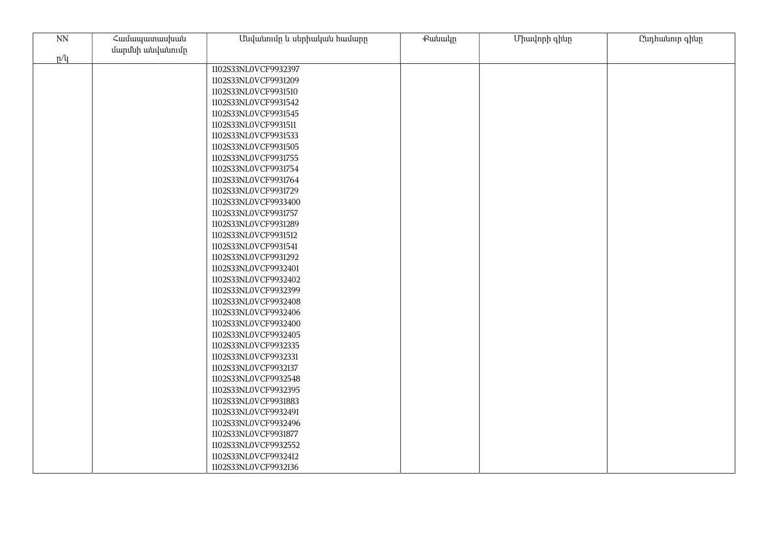| $\mathop{\rm NN}\nolimits$ | Համապատասխան     | Անվանումը և սերիական համարը | Քանակը | Միավորի գինը | Ընդհանուր գինը |
|----------------------------|------------------|-----------------------------|--------|--------------|----------------|
| p/q                        | մարմնի անվանումը |                             |        |              |                |
|                            |                  | 1102S33NL0VCF9932397        |        |              |                |
|                            |                  | 1102S33NL0VCF9931209        |        |              |                |
|                            |                  | 1102S33NL0VCF9931510        |        |              |                |
|                            |                  | 1102S33NL0VCF9931542        |        |              |                |
|                            |                  | 1102S33NL0VCF9931545        |        |              |                |
|                            |                  | 1102S33NL0VCF9931511        |        |              |                |
|                            |                  | 1102S33NL0VCF9931533        |        |              |                |
|                            |                  | 1102S33NL0VCF9931505        |        |              |                |
|                            |                  | 1102S33NL0VCF9931755        |        |              |                |
|                            |                  | 1102S33NL0VCF9931754        |        |              |                |
|                            |                  | 1102S33NL0VCF9931764        |        |              |                |
|                            |                  | 1102S33NL0VCF9931729        |        |              |                |
|                            |                  | 1102S33NL0VCF9933400        |        |              |                |
|                            |                  | 1102S33NL0VCF9931757        |        |              |                |
|                            |                  | 1102S33NL0VCF9931289        |        |              |                |
|                            |                  | 1102S33NL0VCF9931512        |        |              |                |
|                            |                  | 1102S33NL0VCF9931541        |        |              |                |
|                            |                  | 1102S33NL0VCF9931292        |        |              |                |
|                            |                  | 1102S33NL0VCF9932401        |        |              |                |
|                            |                  | 1102S33NL0VCF9932402        |        |              |                |
|                            |                  | 1102S33NL0VCF9932399        |        |              |                |
|                            |                  | 1102S33NL0VCF9932408        |        |              |                |
|                            |                  | 1102S33NL0VCF9932406        |        |              |                |
|                            |                  | 1102S33NL0VCF9932400        |        |              |                |
|                            |                  | 1102S33NL0VCF9932405        |        |              |                |
|                            |                  | 1102S33NL0VCF9932335        |        |              |                |
|                            |                  | 1102S33NL0VCF9932331        |        |              |                |
|                            |                  | 1102S33NL0VCF9932137        |        |              |                |
|                            |                  | 1102S33NL0VCF9932548        |        |              |                |
|                            |                  | 1102S33NL0VCF9932395        |        |              |                |
|                            |                  | 1102S33NL0VCF9931883        |        |              |                |
|                            |                  | 1102S33NL0VCF9932491        |        |              |                |
|                            |                  | 1102S33NL0VCF9932496        |        |              |                |
|                            |                  | 1102S33NL0VCF9931877        |        |              |                |
|                            |                  | 1102S33NL0VCF9932552        |        |              |                |
|                            |                  | 1102S33NL0VCF9932412        |        |              |                |
|                            |                  | 1102S33NL0VCF9932136        |        |              |                |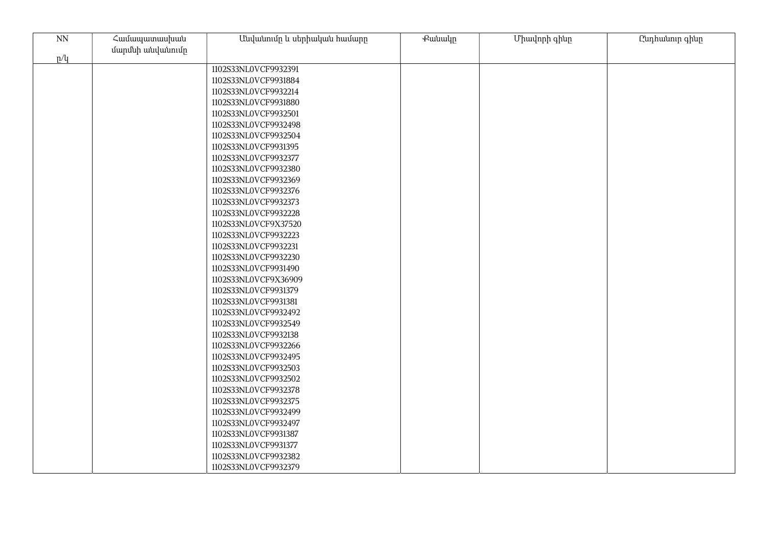| $\mathrm{NN}$ | Համապատասխան     | Անվանումը և սերիական համարը | Քանակը | Միավորի գինը | Ընդհանուր գինը |
|---------------|------------------|-----------------------------|--------|--------------|----------------|
| p/q           | մարմնի անվանումը |                             |        |              |                |
|               |                  | 1102S33NL0VCF9932391        |        |              |                |
|               |                  | 1102S33NL0VCF9931884        |        |              |                |
|               |                  | 1102S33NL0VCF9932214        |        |              |                |
|               |                  | 1102S33NL0VCF9931880        |        |              |                |
|               |                  | 1102S33NL0VCF9932501        |        |              |                |
|               |                  | 1102S33NL0VCF9932498        |        |              |                |
|               |                  | 1102S33NL0VCF9932504        |        |              |                |
|               |                  | 1102S33NL0VCF9931395        |        |              |                |
|               |                  | 1102S33NL0VCF9932377        |        |              |                |
|               |                  | 1102S33NL0VCF9932380        |        |              |                |
|               |                  | 1102S33NL0VCF9932369        |        |              |                |
|               |                  | 1102S33NL0VCF9932376        |        |              |                |
|               |                  | 1102S33NL0VCF9932373        |        |              |                |
|               |                  | 1102S33NL0VCF9932228        |        |              |                |
|               |                  | 1102S33NL0VCF9X37520        |        |              |                |
|               |                  | 1102S33NL0VCF9932223        |        |              |                |
|               |                  | 1102S33NL0VCF9932231        |        |              |                |
|               |                  | 1102S33NL0VCF9932230        |        |              |                |
|               |                  | 1102S33NL0VCF9931490        |        |              |                |
|               |                  | 1102S33NL0VCF9X36909        |        |              |                |
|               |                  | 1102S33NL0VCF9931379        |        |              |                |
|               |                  | 1102S33NL0VCF9931381        |        |              |                |
|               |                  | 1102S33NL0VCF9932492        |        |              |                |
|               |                  | 1102S33NL0VCF9932549        |        |              |                |
|               |                  | 1102S33NL0VCF9932138        |        |              |                |
|               |                  | 1102S33NL0VCF9932266        |        |              |                |
|               |                  | 1102S33NL0VCF9932495        |        |              |                |
|               |                  | 1102S33NL0VCF9932503        |        |              |                |
|               |                  | 1102S33NL0VCF9932502        |        |              |                |
|               |                  | 1102S33NL0VCF9932378        |        |              |                |
|               |                  | 1102S33NL0VCF9932375        |        |              |                |
|               |                  | 1102S33NL0VCF9932499        |        |              |                |
|               |                  | 1102S33NL0VCF9932497        |        |              |                |
|               |                  | 1102S33NL0VCF9931387        |        |              |                |
|               |                  | 1102S33NL0VCF9931377        |        |              |                |
|               |                  | 1102S33NL0VCF9932382        |        |              |                |
|               |                  | 1102S33NL0VCF9932379        |        |              |                |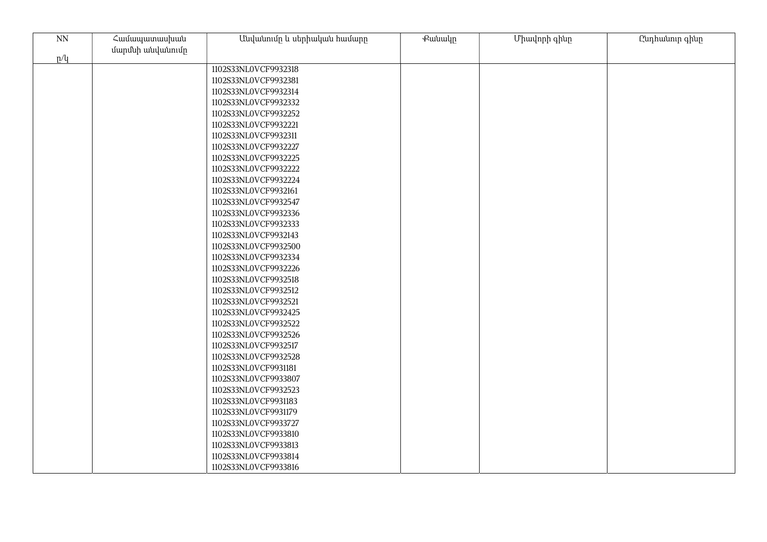| $\mathop{\rm NN}\nolimits$ | Համապատասխան     | Անվանումը և սերիական համարը | Քանակը | Միավորի գինը | Ընդհանուր գինը |
|----------------------------|------------------|-----------------------------|--------|--------------|----------------|
|                            | մարմնի անվանումը |                             |        |              |                |
| p/q                        |                  |                             |        |              |                |
|                            |                  | 1102S33NL0VCF9932318        |        |              |                |
|                            |                  | 1102S33NL0VCF9932381        |        |              |                |
|                            |                  | 1102S33NL0VCF9932314        |        |              |                |
|                            |                  | 1102S33NL0VCF9932332        |        |              |                |
|                            |                  | 1102S33NL0VCF9932252        |        |              |                |
|                            |                  | 1102S33NL0VCF9932221        |        |              |                |
|                            |                  | 1102S33NL0VCF9932311        |        |              |                |
|                            |                  | 1102S33NL0VCF9932227        |        |              |                |
|                            |                  | 1102S33NL0VCF9932225        |        |              |                |
|                            |                  | 1102S33NL0VCF9932222        |        |              |                |
|                            |                  | 1102S33NL0VCF9932224        |        |              |                |
|                            |                  | 1102S33NL0VCF9932161        |        |              |                |
|                            |                  | 1102S33NL0VCF9932547        |        |              |                |
|                            |                  | 1102S33NL0VCF9932336        |        |              |                |
|                            |                  | 1102S33NL0VCF9932333        |        |              |                |
|                            |                  | 1102S33NL0VCF9932143        |        |              |                |
|                            |                  | 1102S33NL0VCF9932500        |        |              |                |
|                            |                  | 1102S33NL0VCF9932334        |        |              |                |
|                            |                  | 1102S33NL0VCF9932226        |        |              |                |
|                            |                  | 1102S33NL0VCF9932518        |        |              |                |
|                            |                  | 1102S33NL0VCF9932512        |        |              |                |
|                            |                  | 1102S33NL0VCF9932521        |        |              |                |
|                            |                  | 1102S33NL0VCF9932425        |        |              |                |
|                            |                  | 1102S33NL0VCF9932522        |        |              |                |
|                            |                  | 1102S33NL0VCF9932526        |        |              |                |
|                            |                  | 1102S33NL0VCF9932517        |        |              |                |
|                            |                  | 1102S33NL0VCF9932528        |        |              |                |
|                            |                  | 1102S33NL0VCF9931181        |        |              |                |
|                            |                  | 1102S33NL0VCF9933807        |        |              |                |
|                            |                  | 1102S33NL0VCF9932523        |        |              |                |
|                            |                  | 1102S33NL0VCF9931183        |        |              |                |
|                            |                  | 1102S33NL0VCF9931179        |        |              |                |
|                            |                  | 1102S33NL0VCF9933727        |        |              |                |
|                            |                  | 1102S33NL0VCF9933810        |        |              |                |
|                            |                  | 1102S33NL0VCF9933813        |        |              |                |
|                            |                  | 1102S33NL0VCF9933814        |        |              |                |
|                            |                  | 1102S33NL0VCF9933816        |        |              |                |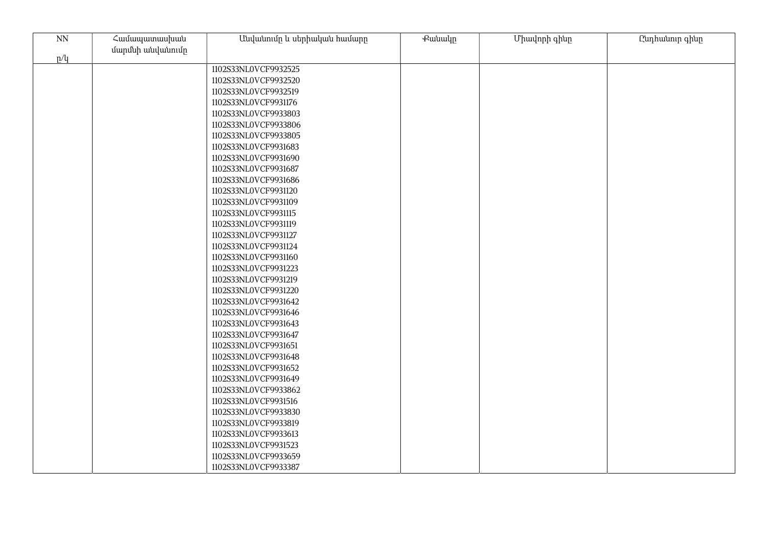| $\mathop{\rm NN}\nolimits$ | Համապատասխան     | Անվանումը և սերիական համարը | Քանակը | Միավորի գինը | Ընդհանուր գինը |
|----------------------------|------------------|-----------------------------|--------|--------------|----------------|
| p/q                        | մարմնի անվանումը |                             |        |              |                |
|                            |                  | 1102S33NL0VCF9932525        |        |              |                |
|                            |                  | 1102S33NL0VCF9932520        |        |              |                |
|                            |                  | 1102S33NL0VCF9932519        |        |              |                |
|                            |                  | 1102S33NL0VCF9931176        |        |              |                |
|                            |                  | 1102S33NL0VCF9933803        |        |              |                |
|                            |                  | 1102S33NL0VCF9933806        |        |              |                |
|                            |                  | 1102S33NL0VCF9933805        |        |              |                |
|                            |                  | 1102S33NL0VCF9931683        |        |              |                |
|                            |                  | 1102S33NL0VCF9931690        |        |              |                |
|                            |                  | 1102S33NL0VCF9931687        |        |              |                |
|                            |                  | 1102S33NL0VCF9931686        |        |              |                |
|                            |                  | 1102S33NL0VCF9931120        |        |              |                |
|                            |                  | 1102S33NL0VCF9931109        |        |              |                |
|                            |                  | 1102S33NL0VCF9931115        |        |              |                |
|                            |                  | 1102S33NL0VCF9931119        |        |              |                |
|                            |                  | 1102S33NL0VCF9931127        |        |              |                |
|                            |                  | 1102S33NL0VCF9931124        |        |              |                |
|                            |                  | 1102S33NL0VCF9931160        |        |              |                |
|                            |                  | 1102S33NL0VCF9931223        |        |              |                |
|                            |                  | 1102S33NL0VCF9931219        |        |              |                |
|                            |                  | 1102S33NL0VCF9931220        |        |              |                |
|                            |                  | 1102S33NL0VCF9931642        |        |              |                |
|                            |                  | 1102S33NL0VCF9931646        |        |              |                |
|                            |                  | 1102S33NL0VCF9931643        |        |              |                |
|                            |                  | 1102S33NL0VCF9931647        |        |              |                |
|                            |                  | 1102S33NL0VCF9931651        |        |              |                |
|                            |                  | 1102S33NL0VCF9931648        |        |              |                |
|                            |                  | 1102S33NL0VCF9931652        |        |              |                |
|                            |                  | 1102S33NL0VCF9931649        |        |              |                |
|                            |                  | 1102S33NL0VCF9933862        |        |              |                |
|                            |                  | 1102S33NL0VCF9931516        |        |              |                |
|                            |                  | 1102S33NL0VCF9933830        |        |              |                |
|                            |                  | 1102S33NL0VCF9933819        |        |              |                |
|                            |                  | 1102S33NL0VCF9933613        |        |              |                |
|                            |                  | 1102S33NL0VCF9931523        |        |              |                |
|                            |                  | 1102S33NL0VCF9933659        |        |              |                |
|                            |                  | 1102S33NL0VCF9933387        |        |              |                |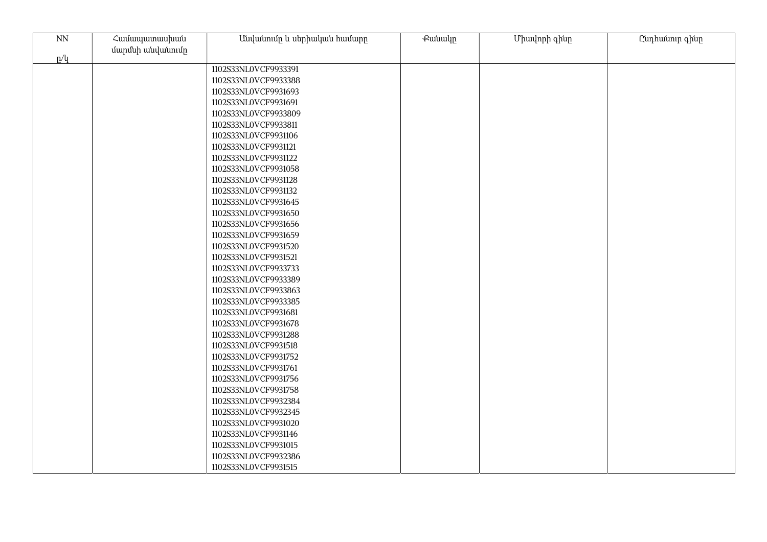| $\mathop{\rm NN}\nolimits$ | Համապատասխան     | Անվանումը և սերիական համարը | Քանակը | Միավորի գինը | Ընդհանուր գինը |
|----------------------------|------------------|-----------------------------|--------|--------------|----------------|
| p/q                        | մարմնի անվանումը |                             |        |              |                |
|                            |                  | 1102S33NL0VCF9933391        |        |              |                |
|                            |                  | 1102S33NL0VCF9933388        |        |              |                |
|                            |                  | 1102S33NL0VCF9931693        |        |              |                |
|                            |                  | 1102S33NL0VCF9931691        |        |              |                |
|                            |                  | 1102S33NL0VCF9933809        |        |              |                |
|                            |                  | 1102S33NL0VCF9933811        |        |              |                |
|                            |                  | 1102S33NL0VCF9931106        |        |              |                |
|                            |                  | 1102S33NL0VCF9931121        |        |              |                |
|                            |                  | 1102S33NL0VCF9931122        |        |              |                |
|                            |                  | 1102S33NL0VCF9931058        |        |              |                |
|                            |                  | 1102S33NL0VCF9931128        |        |              |                |
|                            |                  | 1102S33NL0VCF9931132        |        |              |                |
|                            |                  | 1102S33NL0VCF9931645        |        |              |                |
|                            |                  | 1102S33NL0VCF9931650        |        |              |                |
|                            |                  | 1102S33NL0VCF9931656        |        |              |                |
|                            |                  | 1102S33NL0VCF9931659        |        |              |                |
|                            |                  | 1102S33NL0VCF9931520        |        |              |                |
|                            |                  | 1102S33NL0VCF9931521        |        |              |                |
|                            |                  | 1102S33NL0VCF9933733        |        |              |                |
|                            |                  | 1102S33NL0VCF9933389        |        |              |                |
|                            |                  | 1102S33NL0VCF9933863        |        |              |                |
|                            |                  | 1102S33NL0VCF9933385        |        |              |                |
|                            |                  | 1102S33NL0VCF9931681        |        |              |                |
|                            |                  | 1102S33NL0VCF9931678        |        |              |                |
|                            |                  | 1102S33NL0VCF9931288        |        |              |                |
|                            |                  | 1102S33NL0VCF9931518        |        |              |                |
|                            |                  | 1102S33NL0VCF9931752        |        |              |                |
|                            |                  | 1102S33NL0VCF9931761        |        |              |                |
|                            |                  | 1102S33NL0VCF9931756        |        |              |                |
|                            |                  | 1102S33NL0VCF9931758        |        |              |                |
|                            |                  | 1102S33NL0VCF9932384        |        |              |                |
|                            |                  | 1102S33NL0VCF9932345        |        |              |                |
|                            |                  | 1102S33NL0VCF9931020        |        |              |                |
|                            |                  | 1102S33NL0VCF9931146        |        |              |                |
|                            |                  | 1102S33NL0VCF9931015        |        |              |                |
|                            |                  | 1102S33NL0VCF9932386        |        |              |                |
|                            |                  | 1102S33NL0VCF9931515        |        |              |                |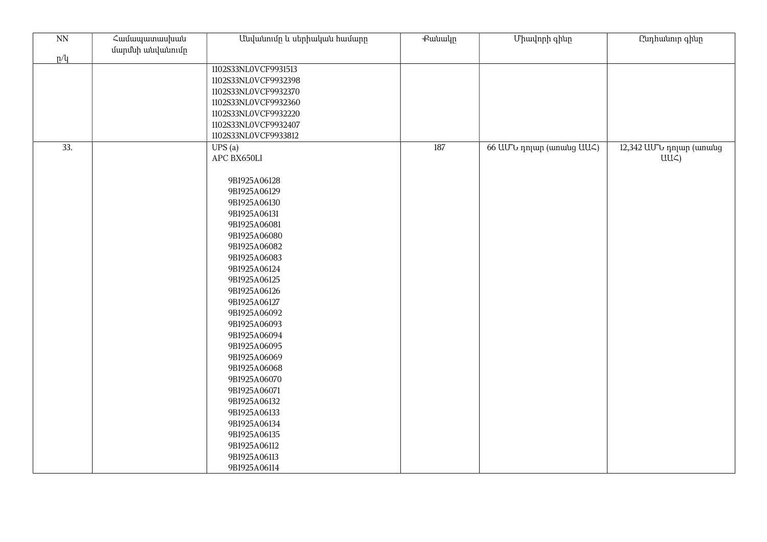| N <sub>N</sub> | Համապատասխան<br>մարմնի անվանումը | Անվանումը և սերիական համարը | Քանակը | Միավորի գինը              | Ընդհանուր գինը          |
|----------------|----------------------------------|-----------------------------|--------|---------------------------|-------------------------|
| p/q            |                                  |                             |        |                           |                         |
|                |                                  | 1102S33NL0VCF9931513        |        |                           |                         |
|                |                                  | 1102S33NL0VCF9932398        |        |                           |                         |
|                |                                  | 1102S33NL0VCF9932370        |        |                           |                         |
|                |                                  | 1102S33NL0VCF9932360        |        |                           |                         |
|                |                                  | 1102S33NL0VCF9932220        |        |                           |                         |
|                |                                  | 1102S33NL0VCF9932407        |        |                           |                         |
|                |                                  | 1102S33NL0VCF9933812        |        |                           |                         |
| 33.            |                                  | UPS(a)                      | 187    | 66 UU to nnun (wnwug UU ) | 12,342 UU v nnun (wnwug |
|                |                                  | APC BX650LI                 |        |                           | $UU\zeta$               |
|                |                                  |                             |        |                           |                         |
|                |                                  | 9B1925A06128                |        |                           |                         |
|                |                                  | 9B1925A06129                |        |                           |                         |
|                |                                  | 9B1925A06130                |        |                           |                         |
|                |                                  | 9B1925A06131                |        |                           |                         |
|                |                                  | 9B1925A06081                |        |                           |                         |
|                |                                  | 9B1925A06080                |        |                           |                         |
|                |                                  | 9B1925A06082                |        |                           |                         |
|                |                                  | 9B1925A06083                |        |                           |                         |
|                |                                  | 9B1925A06124                |        |                           |                         |
|                |                                  | 9B1925A06125                |        |                           |                         |
|                |                                  | 9B1925A06126                |        |                           |                         |
|                |                                  | 9B1925A06127                |        |                           |                         |
|                |                                  | 9B1925A06092                |        |                           |                         |
|                |                                  | 9B1925A06093                |        |                           |                         |
|                |                                  | 9B1925A06094                |        |                           |                         |
|                |                                  | 9B1925A06095                |        |                           |                         |
|                |                                  | 9B1925A06069                |        |                           |                         |
|                |                                  | 9B1925A06068                |        |                           |                         |
|                |                                  | 9B1925A06070                |        |                           |                         |
|                |                                  | 9B1925A06071                |        |                           |                         |
|                |                                  | 9B1925A06132                |        |                           |                         |
|                |                                  | 9B1925A06133                |        |                           |                         |
|                |                                  | 9B1925A06134                |        |                           |                         |
|                |                                  | 9B1925A06135                |        |                           |                         |
|                |                                  | 9B1925A06112                |        |                           |                         |
|                |                                  | 9B1925A06113                |        |                           |                         |
|                |                                  | 9B1925A06114                |        |                           |                         |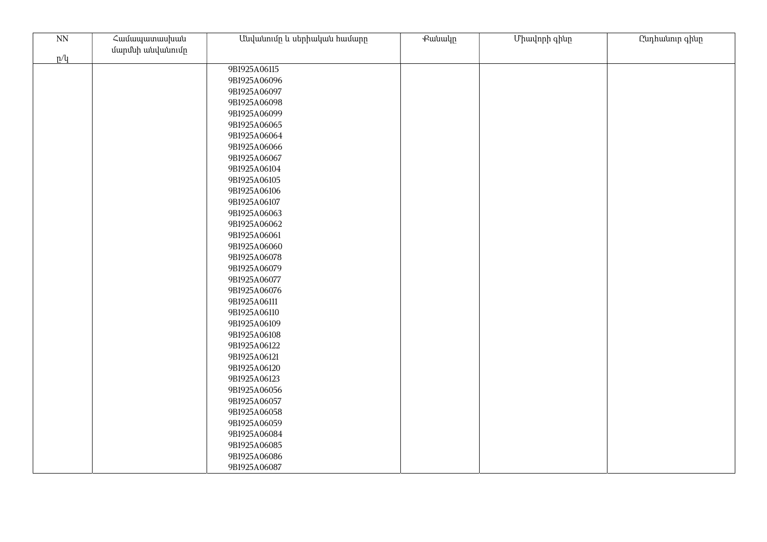| $\overline{\text{NN}}$ | Համապատասխան<br>մարմնի անվանումը | Անվանումը և սերիական համարը | Քանակը | Միավորի գինը | Ընդհանուր գինը |
|------------------------|----------------------------------|-----------------------------|--------|--------------|----------------|
| p/q                    |                                  |                             |        |              |                |
|                        |                                  | 9B1925A06115                |        |              |                |
|                        |                                  | 9B1925A06096                |        |              |                |
|                        |                                  | 9B1925A06097                |        |              |                |
|                        |                                  | 9B1925A06098                |        |              |                |
|                        |                                  | 9B1925A06099                |        |              |                |
|                        |                                  | 9B1925A06065                |        |              |                |
|                        |                                  | 9B1925A06064                |        |              |                |
|                        |                                  | 9B1925A06066                |        |              |                |
|                        |                                  | 9B1925A06067                |        |              |                |
|                        |                                  | 9B1925A06104                |        |              |                |
|                        |                                  | 9B1925A06105                |        |              |                |
|                        |                                  | 9B1925A06106                |        |              |                |
|                        |                                  | 9B1925A06107                |        |              |                |
|                        |                                  | 9B1925A06063                |        |              |                |
|                        |                                  | 9B1925A06062                |        |              |                |
|                        |                                  | 9B1925A06061                |        |              |                |
|                        |                                  | 9B1925A06060                |        |              |                |
|                        |                                  | 9B1925A06078                |        |              |                |
|                        |                                  | 9B1925A06079                |        |              |                |
|                        |                                  | 9B1925A06077                |        |              |                |
|                        |                                  | 9B1925A06076                |        |              |                |
|                        |                                  | 9B1925A06111                |        |              |                |
|                        |                                  | 9B1925A06110                |        |              |                |
|                        |                                  | 9B1925A06109                |        |              |                |
|                        |                                  | 9B1925A06108                |        |              |                |
|                        |                                  | 9B1925A06122                |        |              |                |
|                        |                                  | 9B1925A06121                |        |              |                |
|                        |                                  | 9B1925A06120                |        |              |                |
|                        |                                  | 9B1925A06123                |        |              |                |
|                        |                                  | 9B1925A06056                |        |              |                |
|                        |                                  | 9B1925A06057                |        |              |                |
|                        |                                  | 9B1925A06058                |        |              |                |
|                        |                                  | 9B1925A06059                |        |              |                |
|                        |                                  | 9B1925A06084                |        |              |                |
|                        |                                  | 9B1925A06085                |        |              |                |
|                        |                                  | 9B1925A06086                |        |              |                |
|                        |                                  | 9B1925A06087                |        |              |                |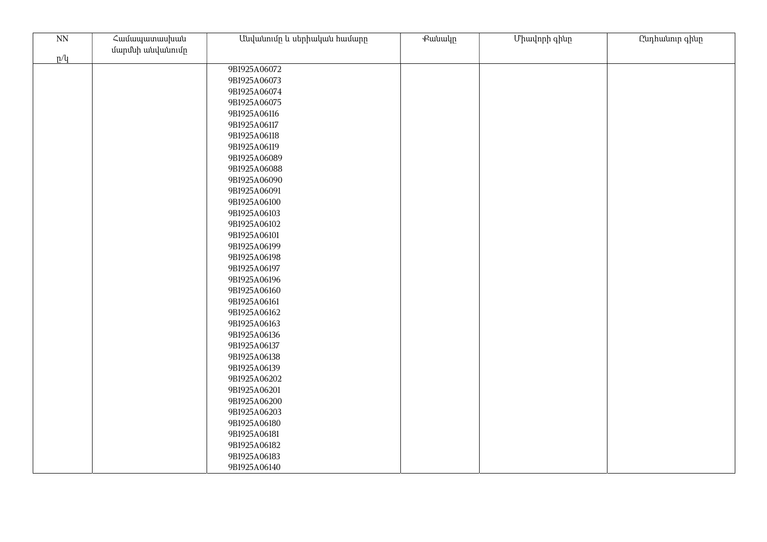| N <sub>N</sub> | Համապատասխան<br>մարմնի անվանումը | Անվանումը և սերիական համարը  | Քանակը | Միավորի գինը | Ընդհանուր գինը |
|----------------|----------------------------------|------------------------------|--------|--------------|----------------|
| p/q            |                                  |                              |        |              |                |
|                |                                  | 9B1925A06072                 |        |              |                |
|                |                                  | 9B1925A06073                 |        |              |                |
|                |                                  | 9B1925A06074                 |        |              |                |
|                |                                  | 9B1925A06075                 |        |              |                |
|                |                                  | 9B1925A06116                 |        |              |                |
|                |                                  | 9B1925A06117                 |        |              |                |
|                |                                  | 9B1925A06118                 |        |              |                |
|                |                                  | 9B1925A06119                 |        |              |                |
|                |                                  | 9B1925A06089                 |        |              |                |
|                |                                  | 9B1925A06088                 |        |              |                |
|                |                                  | 9B1925A06090                 |        |              |                |
|                |                                  | 9B1925A06091                 |        |              |                |
|                |                                  | 9B1925A06100                 |        |              |                |
|                |                                  | 9B1925A06103                 |        |              |                |
|                |                                  | 9B1925A06102                 |        |              |                |
|                |                                  | 9B1925A06101                 |        |              |                |
|                |                                  | 9B1925A06199                 |        |              |                |
|                |                                  | 9B1925A06198                 |        |              |                |
|                |                                  | 9B1925A06197                 |        |              |                |
|                |                                  | 9B1925A06196                 |        |              |                |
|                |                                  | 9B1925A06160                 |        |              |                |
|                |                                  | 9B1925A06161                 |        |              |                |
|                |                                  | 9B1925A06162                 |        |              |                |
|                |                                  | 9B1925A06163                 |        |              |                |
|                |                                  | 9B1925A06136                 |        |              |                |
|                |                                  | 9B1925A06137                 |        |              |                |
|                |                                  | 9B1925A06138                 |        |              |                |
|                |                                  | 9B1925A06139                 |        |              |                |
|                |                                  | 9B1925A06202                 |        |              |                |
|                |                                  | 9B1925A06201<br>9B1925A06200 |        |              |                |
|                |                                  | 9B1925A06203                 |        |              |                |
|                |                                  | 9B1925A06180                 |        |              |                |
|                |                                  | 9B1925A06181                 |        |              |                |
|                |                                  | 9B1925A06182                 |        |              |                |
|                |                                  | 9B1925A06183                 |        |              |                |
|                |                                  | 9B1925A06140                 |        |              |                |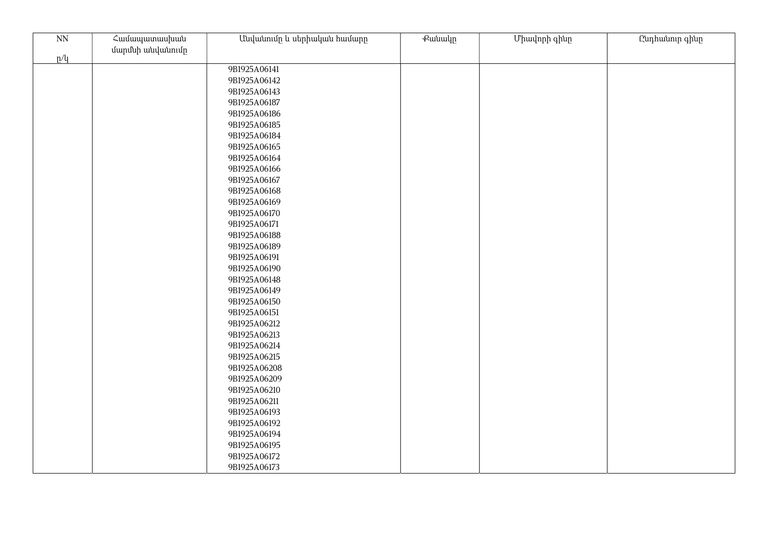| $\mathop{\rm NN}\nolimits$ | Համապատասխան     | Անվանումը և սերիական համարը | <b></b> | Միավորի գինը | Ընդհանուր գինը |
|----------------------------|------------------|-----------------------------|---------|--------------|----------------|
|                            | մարմնի անվանումը |                             |         |              |                |
| p/q                        |                  |                             |         |              |                |
|                            |                  | 9B1925A06141                |         |              |                |
|                            |                  | 9B1925A06142                |         |              |                |
|                            |                  | 9B1925A06143                |         |              |                |
|                            |                  | 9B1925A06187                |         |              |                |
|                            |                  | 9B1925A06186                |         |              |                |
|                            |                  | 9B1925A06185                |         |              |                |
|                            |                  | 9B1925A06184                |         |              |                |
|                            |                  | 9B1925A06165                |         |              |                |
|                            |                  | 9B1925A06164                |         |              |                |
|                            |                  | 9B1925A06166                |         |              |                |
|                            |                  | 9B1925A06167                |         |              |                |
|                            |                  | 9B1925A06168                |         |              |                |
|                            |                  | 9B1925A06169                |         |              |                |
|                            |                  | 9B1925A06170                |         |              |                |
|                            |                  | 9B1925A06171                |         |              |                |
|                            |                  | 9B1925A06188                |         |              |                |
|                            |                  | 9B1925A06189                |         |              |                |
|                            |                  | 9B1925A06191                |         |              |                |
|                            |                  | 9B1925A06190                |         |              |                |
|                            |                  | 9B1925A06148                |         |              |                |
|                            |                  | 9B1925A06149                |         |              |                |
|                            |                  | 9B1925A06150                |         |              |                |
|                            |                  | 9B1925A06151                |         |              |                |
|                            |                  | 9B1925A06212                |         |              |                |
|                            |                  | 9B1925A06213                |         |              |                |
|                            |                  | 9B1925A06214                |         |              |                |
|                            |                  | 9B1925A06215                |         |              |                |
|                            |                  | 9B1925A06208                |         |              |                |
|                            |                  | 9B1925A06209                |         |              |                |
|                            |                  | 9B1925A06210                |         |              |                |
|                            |                  | 9B1925A06211                |         |              |                |
|                            |                  | 9B1925A06193                |         |              |                |
|                            |                  | 9B1925A06192                |         |              |                |
|                            |                  | 9B1925A06194                |         |              |                |
|                            |                  | 9B1925A06195                |         |              |                |
|                            |                  | 9B1925A06172                |         |              |                |
|                            |                  | 9B1925A06173                |         |              |                |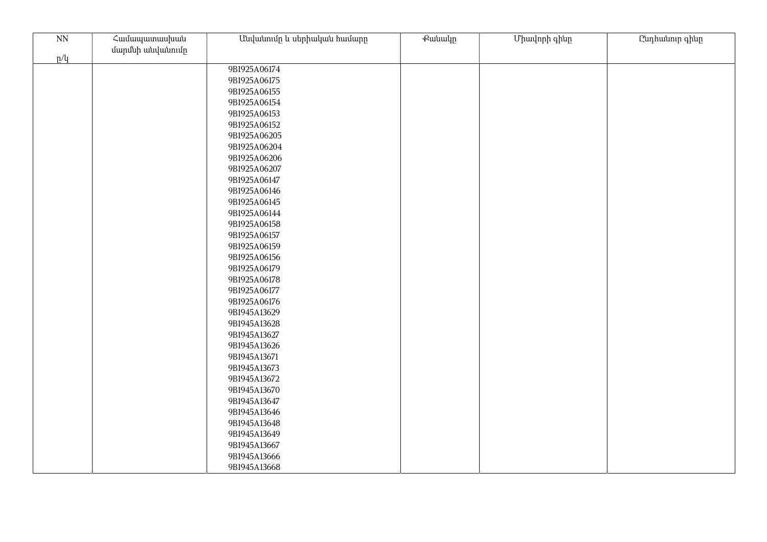| N <sub>N</sub> | Համապատասխան<br>մարմնի անվանումը | Անվանումը և սերիական համարը                                                                                                                                                                  | Քանակը | Միավորի գինը | Ընդհանուր գինը |
|----------------|----------------------------------|----------------------------------------------------------------------------------------------------------------------------------------------------------------------------------------------|--------|--------------|----------------|
| p/q            |                                  |                                                                                                                                                                                              |        |              |                |
|                |                                  | 9B1925A06174                                                                                                                                                                                 |        |              |                |
|                |                                  | 9B1925A06175                                                                                                                                                                                 |        |              |                |
|                |                                  | 9B1925A06155                                                                                                                                                                                 |        |              |                |
|                |                                  | 9B1925A06154                                                                                                                                                                                 |        |              |                |
|                |                                  | 9B1925A06153                                                                                                                                                                                 |        |              |                |
|                |                                  | 9B1925A06152                                                                                                                                                                                 |        |              |                |
|                |                                  | 9B1925A06205                                                                                                                                                                                 |        |              |                |
|                |                                  | 9B1925A06204                                                                                                                                                                                 |        |              |                |
|                |                                  | 9B1925A06206                                                                                                                                                                                 |        |              |                |
|                |                                  | 9B1925A06207                                                                                                                                                                                 |        |              |                |
|                |                                  | 9B1925A06147                                                                                                                                                                                 |        |              |                |
|                |                                  | 9B1925A06146                                                                                                                                                                                 |        |              |                |
|                |                                  | 9B1925A06145                                                                                                                                                                                 |        |              |                |
|                |                                  | 9B1925A06144                                                                                                                                                                                 |        |              |                |
|                |                                  | 9B1925A06158                                                                                                                                                                                 |        |              |                |
|                |                                  | 9B1925A06157                                                                                                                                                                                 |        |              |                |
|                |                                  | 9B1925A06159                                                                                                                                                                                 |        |              |                |
|                |                                  | 9B1925A06156                                                                                                                                                                                 |        |              |                |
|                |                                  | 9B1925A06179                                                                                                                                                                                 |        |              |                |
|                |                                  | 9B1925A06178                                                                                                                                                                                 |        |              |                |
|                |                                  | 9B1925A06177                                                                                                                                                                                 |        |              |                |
|                |                                  | 9B1925A06176                                                                                                                                                                                 |        |              |                |
|                |                                  | 9B1945A13629                                                                                                                                                                                 |        |              |                |
|                |                                  | 9B1945A13628                                                                                                                                                                                 |        |              |                |
|                |                                  | 9B1945A13627                                                                                                                                                                                 |        |              |                |
|                |                                  |                                                                                                                                                                                              |        |              |                |
|                |                                  |                                                                                                                                                                                              |        |              |                |
|                |                                  |                                                                                                                                                                                              |        |              |                |
|                |                                  |                                                                                                                                                                                              |        |              |                |
|                |                                  |                                                                                                                                                                                              |        |              |                |
|                |                                  |                                                                                                                                                                                              |        |              |                |
|                |                                  |                                                                                                                                                                                              |        |              |                |
|                |                                  |                                                                                                                                                                                              |        |              |                |
|                |                                  |                                                                                                                                                                                              |        |              |                |
|                |                                  |                                                                                                                                                                                              |        |              |                |
|                |                                  |                                                                                                                                                                                              |        |              |                |
|                |                                  | 9B1945A13626<br>9B1945A13671<br>9B1945A13673<br>9B1945A13672<br>9B1945A13670<br>9B1945A13647<br>9B1945A13646<br>9B1945A13648<br>9B1945A13649<br>9B1945A13667<br>9B1945A13666<br>9B1945A13668 |        |              |                |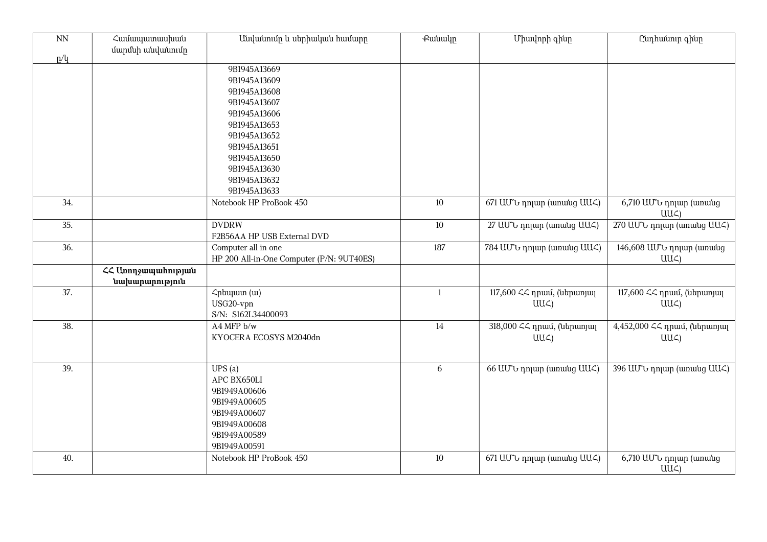| $\overline{NN}$ | Համապատասխան<br>մարմնի անվանումը     | Անվանումը և սերիական համարը               | <b></b> eutuulp | Միավորի գինը               | Ընդհանուր գինը                            |
|-----------------|--------------------------------------|-------------------------------------------|-----------------|----------------------------|-------------------------------------------|
| p/q             |                                      | 9B1945A13669                              |                 |                            |                                           |
|                 |                                      | 9B1945A13609                              |                 |                            |                                           |
|                 |                                      | 9B1945A13608                              |                 |                            |                                           |
|                 |                                      | 9B1945A13607                              |                 |                            |                                           |
|                 |                                      | 9B1945A13606                              |                 |                            |                                           |
|                 |                                      | 9B1945A13653                              |                 |                            |                                           |
|                 |                                      | 9B1945A13652                              |                 |                            |                                           |
|                 |                                      | 9B1945A13651                              |                 |                            |                                           |
|                 |                                      | 9B1945A13650                              |                 |                            |                                           |
|                 |                                      | 9B1945A13630                              |                 |                            |                                           |
|                 |                                      | 9B1945A13632<br>9B1945A13633              |                 |                            |                                           |
| 34.             |                                      | Notebook HP ProBook 450                   | 10              |                            |                                           |
|                 |                                      |                                           |                 | 671 UU to nnun (wnwug UU ) | 6,710 UU v nnun (wnwug<br>UU <sub>4</sub> |
| 35.             |                                      | <b>DVDRW</b>                              | $10\,$          | 27 UU v nnun (wnwug UU )   | 270 UU v nnun (wnwug UU )                 |
|                 |                                      | F2B56AA HP USB External DVD               |                 |                            |                                           |
| 36.             |                                      | Computer all in one                       | 187             | 784 UU v nnun (wnwug UU )  | 146,608 ԱՄՆ դոլար (առանց                  |
|                 |                                      | HP 200 All-in-One Computer (P/N: 9UT40ES) |                 |                            | $UU\subset$                               |
|                 | ՀՀ Առողջապահության<br>նախարարություն |                                           |                 |                            |                                           |
| 37.             |                                      | Հրեպատ (ա)                                | $\mathbf{1}$    | 117,600 ՀՀ դրամ, (ներառյալ | 117,600 ՀՀ դրամ, (ներառյալ                |
|                 |                                      | USG20-vpn                                 |                 | $UU\mathcal{L}$            | $UU\mathcal{L}$                           |
|                 |                                      | S/N: S162L34400093                        |                 |                            |                                           |
| 38.             |                                      | A4 MFP b/w                                | 14              | 318,000 << դրամ, (ներառյալ | 4,452,000 << npwu, (utpwnjwl              |
|                 |                                      | KYOCERA ECOSYS M2040dn                    |                 | $UU\subset$                | $UU\subset$                               |
|                 |                                      |                                           |                 |                            |                                           |
| 39.             |                                      | UPS(a)                                    | 6               | 66 UU to nnun (womung UU ) | 396 UU to nnun (womung UU )               |
|                 |                                      | APC BX650LI                               |                 |                            |                                           |
|                 |                                      | 9B1949A00606                              |                 |                            |                                           |
|                 |                                      | 9B1949A00605                              |                 |                            |                                           |
|                 |                                      | 9B1949A00607                              |                 |                            |                                           |
|                 |                                      | 9B1949A00608                              |                 |                            |                                           |
|                 |                                      | 9B1949A00589                              |                 |                            |                                           |
|                 |                                      | 9B1949A00591                              |                 |                            |                                           |
| 40.             |                                      | Notebook HP ProBook 450                   | 10              | 671 UU to nnun (wnwug UU ) | $\overline{6,7}$ 10 UU'U nnuun (wnwug     |
|                 |                                      |                                           |                 |                            | UU <sub>4</sub>                           |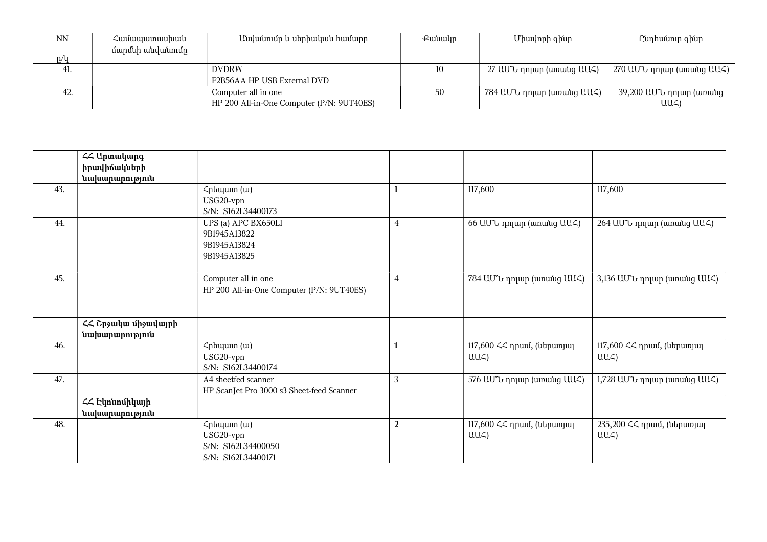| <b>NN</b> | Համապատասխան     | Անվանումը և սերիական համարը               | Քանակը | Միավորի գինը              | Ընդհանուր գինը            |
|-----------|------------------|-------------------------------------------|--------|---------------------------|---------------------------|
|           | մարմնի անվանումը |                                           |        |                           |                           |
| n/u       |                  |                                           |        |                           |                           |
| 41.       |                  | <b>DVDRW</b>                              |        | 27 ԱՄՆ դոլար (առանց ԱԱՀ)  | 270 ԱՄՆ դոլար (առանց ԱԱՀ) |
|           |                  | F2B56AA HP USB External DVD               |        |                           |                           |
| 42.       |                  | Computer all in one                       | 50     | 784 ԱՄՆ դոլար (առանց ԱԱՀ) | 39,200 ԱՄՆ դոլար (առանց   |
|           |                  | HP 200 All-in-One Computer (P/N: 9UT40ES) |        |                           | UUC)                      |

|     | ՀՀ Արտակարգ<br>իրավիճակների           |                                                                                  |                |                                               |                                               |
|-----|---------------------------------------|----------------------------------------------------------------------------------|----------------|-----------------------------------------------|-----------------------------------------------|
| 43. | նախարարություն                        | $\mathcal{L}_{\text{pl}}$ (w)<br>USG20-vpn<br>S/N: S162L34400173                 |                | 117,600                                       | 117,600                                       |
| 44. |                                       | UPS (a) APC BX650LI<br>9B1945A13822<br>9B1945A13824<br>9B1945A13825              | $\overline{4}$ | 66 UU to nnun (wnwug UU )                     | 264 UU v nnun (wnwug UU )                     |
| 45. |                                       | Computer all in one<br>HP 200 All-in-One Computer (P/N: 9UT40ES)                 | $\overline{4}$ | 784 UU v nnun (wnwug UU )                     | 3,136 UU to nnun (womung UU )                 |
|     | ՀՀ Շրջակա միջավայրի<br>նախարարություն |                                                                                  |                |                                               |                                               |
| 46. |                                       | $\mathcal{L}_{\text{pl}}$ (w)<br>USG20-vpn<br>S/N: S162L34400174                 |                | 117,600 ՀՀ դրամ, (ներառյալ<br>UU <sub>4</sub> | 117,600 ՀՀ դրամ, (ներառյալ<br>$UU\zeta$       |
| 47. |                                       | A4 sheetfed scanner<br>HP ScanJet Pro 3000 s3 Sheet-feed Scanner                 | 3              | 576 UU to nnun (wnwug UU )                    | 1,728 UU b nnun (wnwug UU )                   |
|     | ՀՀ Էկոնոմիկայի<br>նախարարություն      |                                                                                  |                |                                               |                                               |
| 48. |                                       | $\mathcal{L}$ րեպատ (ա)<br>USG20-vpn<br>S/N: S162L34400050<br>S/N: S162L34400171 | $\overline{2}$ | 117,600 ՀՀ դրամ, (ներառյալ<br>$UU\subset$     | 235,200 << դրամ, (ներառյալ<br>$UU\mathcal{L}$ |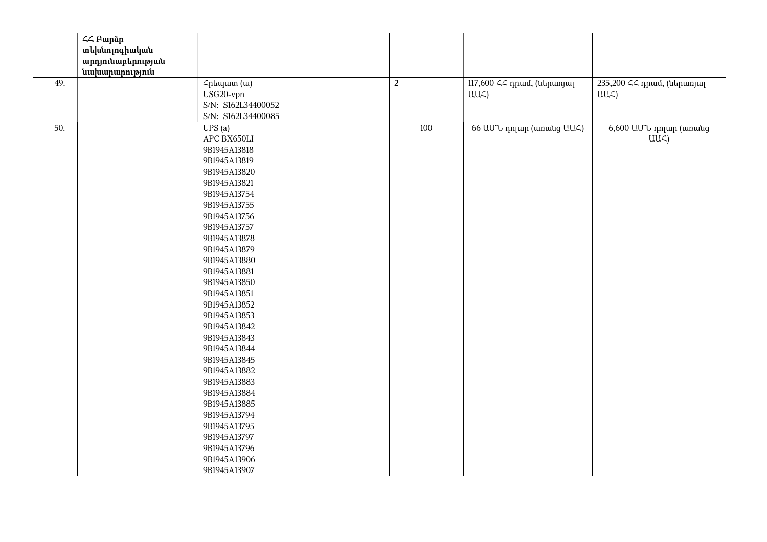|     | $\overline{2}$ Բարձր |                    |                |                            |                            |
|-----|----------------------|--------------------|----------------|----------------------------|----------------------------|
|     | տեխնոլոգիական        |                    |                |                            |                            |
|     | արդյունաբերության    |                    |                |                            |                            |
|     | նախարարություն       |                    |                |                            |                            |
| 49. |                      | Հրեպատ (ա)         | $\overline{2}$ | 117,600 ՀՀ դրամ, (ներառյալ | 235,200 << դրամ, (ներառյալ |
|     |                      | USG20-vpn          |                | $UU\zeta$                  | UU <sub>4</sub>            |
|     |                      | S/N: S162L34400052 |                |                            |                            |
|     |                      | S/N: S162L34400085 |                |                            |                            |
| 50. |                      | UPS(a)             | 100            | 66 UU to nnun (wnwug UU<)  | 6,600 ԱՄՆ դոլար (առանց     |
|     |                      | APC BX650LI        |                |                            | $UU\subset$                |
|     |                      | 9B1945A13818       |                |                            |                            |
|     |                      | 9B1945A13819       |                |                            |                            |
|     |                      | 9B1945A13820       |                |                            |                            |
|     |                      | 9B1945A13821       |                |                            |                            |
|     |                      | 9B1945A13754       |                |                            |                            |
|     |                      | 9B1945A13755       |                |                            |                            |
|     |                      | 9B1945A13756       |                |                            |                            |
|     |                      | 9B1945A13757       |                |                            |                            |
|     |                      | 9B1945A13878       |                |                            |                            |
|     |                      | 9B1945A13879       |                |                            |                            |
|     |                      | 9B1945A13880       |                |                            |                            |
|     |                      | 9B1945A13881       |                |                            |                            |
|     |                      | 9B1945A13850       |                |                            |                            |
|     |                      | 9B1945A13851       |                |                            |                            |
|     |                      | 9B1945A13852       |                |                            |                            |
|     |                      | 9B1945A13853       |                |                            |                            |
|     |                      | 9B1945A13842       |                |                            |                            |
|     |                      | 9B1945A13843       |                |                            |                            |
|     |                      | 9B1945A13844       |                |                            |                            |
|     |                      | 9B1945A13845       |                |                            |                            |
|     |                      | 9B1945A13882       |                |                            |                            |
|     |                      | 9B1945A13883       |                |                            |                            |
|     |                      | 9B1945A13884       |                |                            |                            |
|     |                      | 9B1945A13885       |                |                            |                            |
|     |                      | 9B1945A13794       |                |                            |                            |
|     |                      | 9B1945A13795       |                |                            |                            |
|     |                      | 9B1945A13797       |                |                            |                            |
|     |                      | 9B1945A13796       |                |                            |                            |
|     |                      |                    |                |                            |                            |
|     |                      | 9B1945A13906       |                |                            |                            |
|     |                      | 9B1945A13907       |                |                            |                            |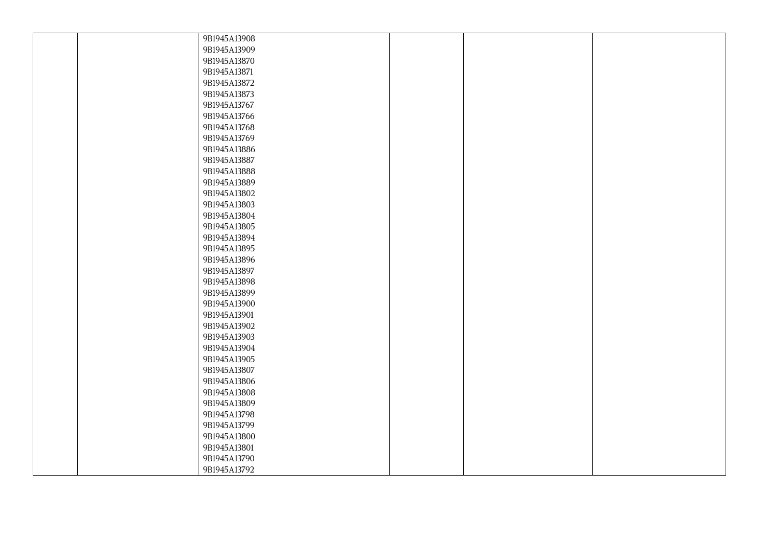| 9B1945A13908 |  |  |
|--------------|--|--|
| 9B1945A13909 |  |  |
| 9B1945A13870 |  |  |
| 9B1945A13871 |  |  |
| 9B1945A13872 |  |  |
| 9B1945A13873 |  |  |
| 9B1945A13767 |  |  |
| 9B1945A13766 |  |  |
| 9B1945A13768 |  |  |
| 9B1945A13769 |  |  |
| 9B1945A13886 |  |  |
| 9B1945A13887 |  |  |
| 9B1945A13888 |  |  |
| 9B1945A13889 |  |  |
| 9B1945A13802 |  |  |
| 9B1945A13803 |  |  |
| 9B1945A13804 |  |  |
| 9B1945A13805 |  |  |
| 9B1945A13894 |  |  |
| 9B1945A13895 |  |  |
| 9B1945A13896 |  |  |
| 9B1945A13897 |  |  |
| 9B1945A13898 |  |  |
| 9B1945A13899 |  |  |
| 9B1945A13900 |  |  |
| 9B1945A13901 |  |  |
| 9B1945A13902 |  |  |
| 9B1945A13903 |  |  |
| 9B1945A13904 |  |  |
| 9B1945A13905 |  |  |
| 9B1945A13807 |  |  |
| 9B1945A13806 |  |  |
| 9B1945A13808 |  |  |
| 9B1945A13809 |  |  |
| 9B1945A13798 |  |  |
| 9B1945A13799 |  |  |
| 9B1945A13800 |  |  |
| 9B1945A13801 |  |  |
| 9B1945A13790 |  |  |
| 9B1945A13792 |  |  |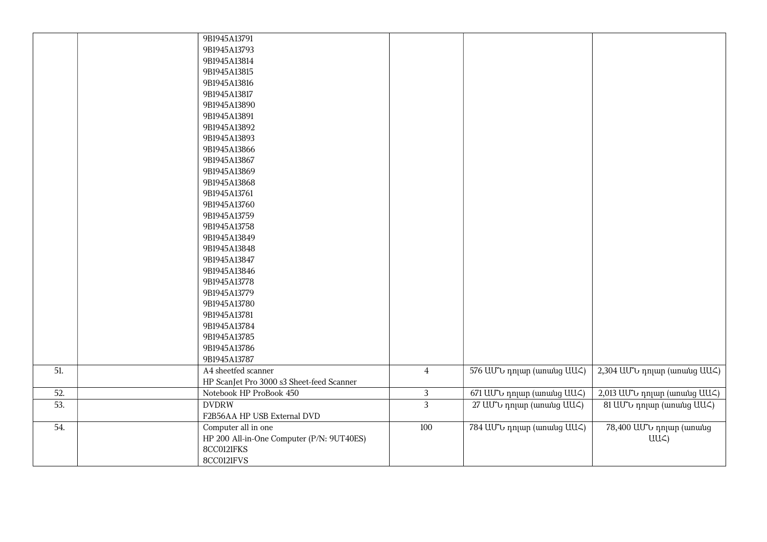|     | 9B1945A13791<br>9B1945A13793<br>9B1945A13814<br>9B1945A13815<br>9B1945A13816<br>9B1945A13817<br>9B1945A13890<br>9B1945A13891<br>9B1945A13892<br>9B1945A13893<br>9B1945A13866<br>9B1945A13867<br>9B1945A13869<br>9B1945A13868<br>9B1945A13761<br>9B1945A13760<br>9B1945A13759<br>9B1945A13758<br>9B1945A13849<br>9B1945A13848<br>9B1945A13847<br>9B1945A13846<br>9B1945A13778<br>9B1945A13779<br>9B1945A13780<br>9B1945A13781<br>9B1945A13784<br>9B1945A13785 |                |                            |                                            |
|-----|--------------------------------------------------------------------------------------------------------------------------------------------------------------------------------------------------------------------------------------------------------------------------------------------------------------------------------------------------------------------------------------------------------------------------------------------------------------|----------------|----------------------------|--------------------------------------------|
|     | 9B1945A13786<br>9B1945A13787                                                                                                                                                                                                                                                                                                                                                                                                                                 |                |                            |                                            |
| 51. | A4 sheetfed scanner<br>HP ScanJet Pro 3000 s3 Sheet-feed Scanner                                                                                                                                                                                                                                                                                                                                                                                             | $\overline{4}$ | 576 UU v nnun (wnwug UU )  | 2,304 UU v nnun (wnwug UU )                |
| 52. | Notebook HP ProBook 450                                                                                                                                                                                                                                                                                                                                                                                                                                      | $\mathfrak{Z}$ | 671 UU to nnun (wnwug UU ) | 2,013 UU to nnun (wnwug UU )               |
| 53. | <b>DVDRW</b><br>F2B56AA HP USB External DVD                                                                                                                                                                                                                                                                                                                                                                                                                  | $\overline{3}$ | 27 UU v nnun (wnwug UU )   | 81 UU v nnun (wnwug UU )                   |
| 54. | Computer all in one<br>HP 200 All-in-One Computer (P/N: 9UT40ES)<br>8CC0121FKS<br>8CC0121FVS                                                                                                                                                                                                                                                                                                                                                                 | 100            | 784 UU to nnun (wnwug UU ) | 78,400 ԱՄՆ դոլար (առանց<br>$UU\mathcal{L}$ |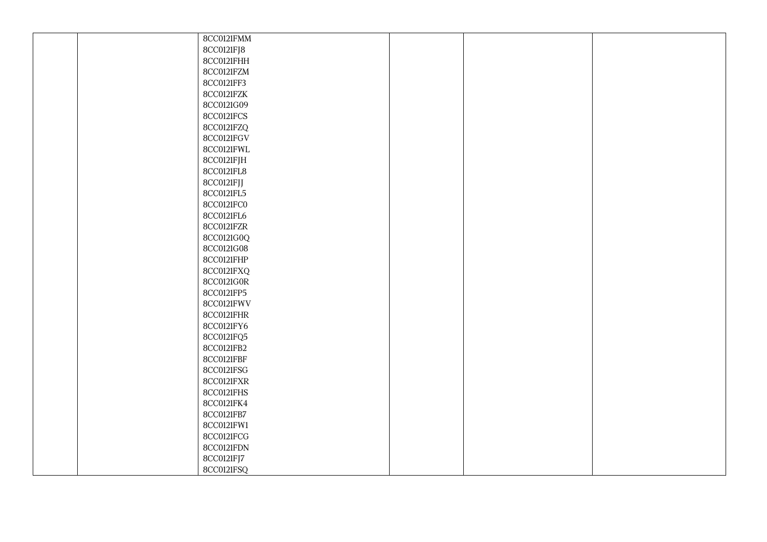|  | 8CC0121FMM |  |  |
|--|------------|--|--|
|  | 8CC0121FJ8 |  |  |
|  | 8CC0121FHH |  |  |
|  | 8CC0121FZM |  |  |
|  | 8CC0121FF3 |  |  |
|  | 8CC0121FZK |  |  |
|  | 8CC0121G09 |  |  |
|  | 8CC0121FCS |  |  |
|  | 8CC0121FZQ |  |  |
|  | 8CC0121FGV |  |  |
|  | 8CC0121FWL |  |  |
|  | 8CC0121FJH |  |  |
|  | 8CC0121FL8 |  |  |
|  | 8CC0121FJJ |  |  |
|  | 8CC0121FL5 |  |  |
|  | 8CC0121FC0 |  |  |
|  | 8CC0121FL6 |  |  |
|  | 8CC0121FZR |  |  |
|  | 8CC0121G0Q |  |  |
|  | 8CC0121G08 |  |  |
|  | 8CC0121FHP |  |  |
|  | 8CC0121FXQ |  |  |
|  | 8CC0121G0R |  |  |
|  | 8CC0121FP5 |  |  |
|  | 8CC0121FWV |  |  |
|  | 8CC0121FHR |  |  |
|  | 8CC0121FY6 |  |  |
|  | 8CC0121FQ5 |  |  |
|  | 8CC0121FB2 |  |  |
|  | 8CC0121FBF |  |  |
|  | 8CC0121FSG |  |  |
|  | 8CC0121FXR |  |  |
|  | 8CC0121FHS |  |  |
|  | 8CC0121FK4 |  |  |
|  | 8CC0121FB7 |  |  |
|  | 8CC0121FW1 |  |  |
|  | 8CC0121FCG |  |  |
|  | 8CC0121FDN |  |  |
|  | 8CC0121FJ7 |  |  |
|  | 8CC0121FSQ |  |  |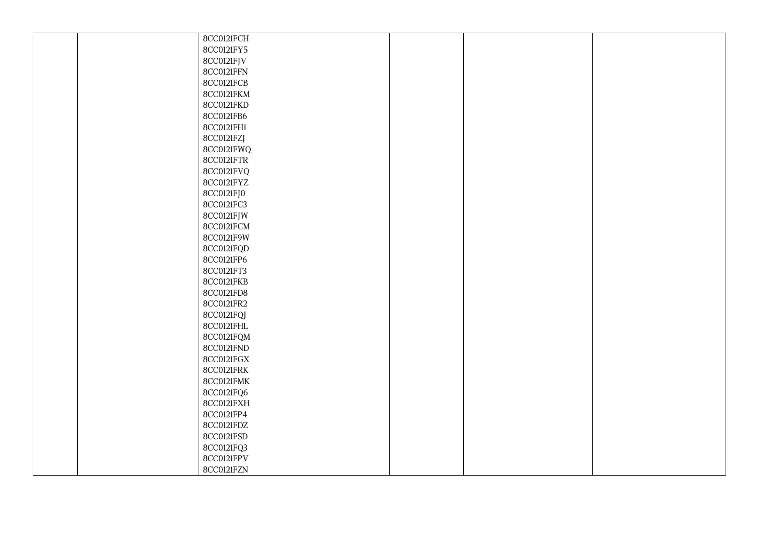|  | 8CC0121FCH |  |  |
|--|------------|--|--|
|  | 8CC0121FY5 |  |  |
|  | 8CC0121FJV |  |  |
|  | 8CC0121FFN |  |  |
|  | 8CC0121FCB |  |  |
|  | 8CC0121FKM |  |  |
|  | 8CC0121FKD |  |  |
|  | 8CC0121FB6 |  |  |
|  | 8CC0121FH1 |  |  |
|  | 8CC0121FZJ |  |  |
|  | 8CC0121FWQ |  |  |
|  | 8CC0121FTR |  |  |
|  | 8CC0121FVQ |  |  |
|  | 8CC0121FYZ |  |  |
|  | 8CC0121FJ0 |  |  |
|  | 8CC0121FC3 |  |  |
|  | 8CC0121FJW |  |  |
|  | 8CC0121FCM |  |  |
|  | 8CC0121F9W |  |  |
|  | 8CC0121FQD |  |  |
|  | 8CC0121FP6 |  |  |
|  | 8CC0121FT3 |  |  |
|  | 8CC0121FKB |  |  |
|  | 8CC0121FD8 |  |  |
|  | 8CC0121FR2 |  |  |
|  | 8CC0121FQJ |  |  |
|  | 8CC0121FHL |  |  |
|  | 8CC0121FQM |  |  |
|  | 8CC0121FND |  |  |
|  | 8CC0121FGX |  |  |
|  | 8CC0121FRK |  |  |
|  | 8CC0121FMK |  |  |
|  | 8CC0121FQ6 |  |  |
|  | 8CC0121FXH |  |  |
|  | 8CC0121FP4 |  |  |
|  | 8CC0121FDZ |  |  |
|  | 8CC0121FSD |  |  |
|  | 8CC0121FQ3 |  |  |
|  | 8CC0121FPV |  |  |
|  | 8CC0121FZN |  |  |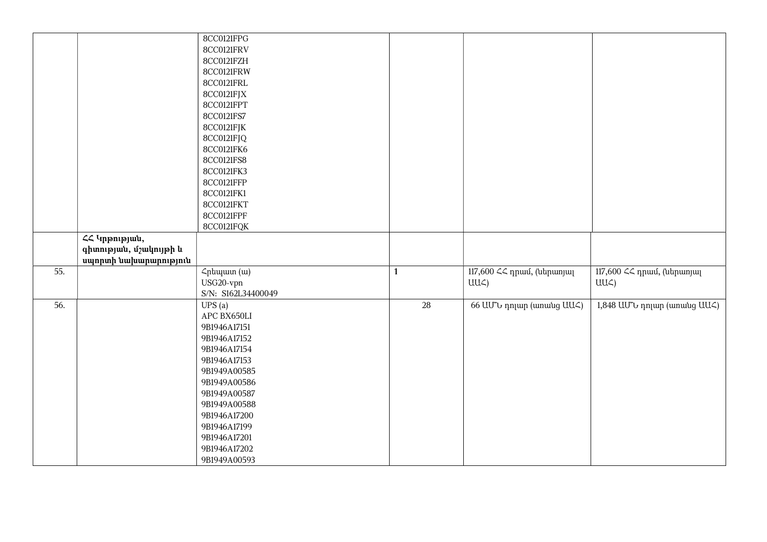|     |                                                                  | 8CC0121FPG<br>8CC0121FRV<br>8CC0121FZH<br>8CC0121FRW<br>8CC0121FRL<br>8CC0121FJX<br>8CC0121FPT                                                                                                                                        |                 |                                               |                                               |
|-----|------------------------------------------------------------------|---------------------------------------------------------------------------------------------------------------------------------------------------------------------------------------------------------------------------------------|-----------------|-----------------------------------------------|-----------------------------------------------|
|     |                                                                  | 8CC0121FS7<br>8CC0121FJK<br>8CC0121FJQ<br>8CC0121FK6<br>8CC0121FS8<br>8CC0121FK3<br>8CC0121FFP<br>8CC0121FK1<br>8CC0121FKT<br>8CC0121FPF                                                                                              |                 |                                               |                                               |
|     | ՀՀ Կրթության,<br>գիտության, մշակույթի և<br>սպորտի նախարարություն | 8CC0121FQK                                                                                                                                                                                                                            |                 |                                               |                                               |
| 55. |                                                                  | Հրեպատ (ա)<br>USG20-vpn<br>S/N: S162L34400049                                                                                                                                                                                         | $\mathbf{1}$    | 117,600 ՀՀ դրամ, (ներառյալ<br>UU <sub>4</sub> | 117,600 ՀՀ դրամ, (ներառյալ<br>UU <sub>4</sub> |
| 56. |                                                                  | UPS(a)<br>APC BX650LI<br>9B1946A17151<br>9B1946A17152<br>9B1946A17154<br>9B1946A17153<br>9B1949A00585<br>9B1949A00586<br>9B1949A00587<br>9B1949A00588<br>9B1946A17200<br>9B1946A17199<br>9B1946A17201<br>9B1946A17202<br>9B1949A00593 | $\overline{28}$ | 66 UU v nnun (wnwug UU )                      | 1,848 UU v nnun (wnwug UU )                   |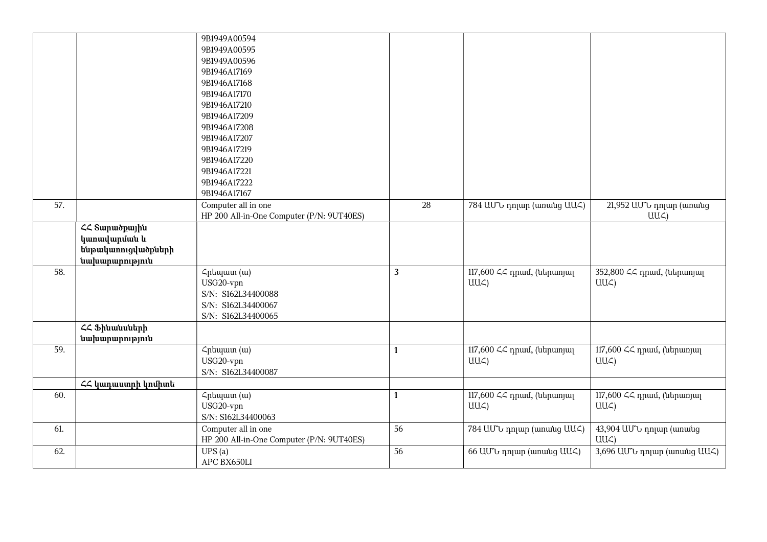|     |                            | 9B1949A00594                              |              |                                |                                  |
|-----|----------------------------|-------------------------------------------|--------------|--------------------------------|----------------------------------|
|     |                            | 9B1949A00595                              |              |                                |                                  |
|     |                            | 9B1949A00596                              |              |                                |                                  |
|     |                            | 9B1946A17169                              |              |                                |                                  |
|     |                            | 9B1946A17168                              |              |                                |                                  |
|     |                            | 9B1946A17170                              |              |                                |                                  |
|     |                            | 9B1946A17210                              |              |                                |                                  |
|     |                            | 9B1946A17209                              |              |                                |                                  |
|     |                            | 9B1946A17208                              |              |                                |                                  |
|     |                            | 9B1946A17207                              |              |                                |                                  |
|     |                            | 9B1946A17219                              |              |                                |                                  |
|     |                            | 9B1946A17220                              |              |                                |                                  |
|     |                            | 9B1946A17221                              |              |                                |                                  |
|     |                            | 9B1946A17222                              |              |                                |                                  |
|     |                            | 9B1946A17167                              |              |                                |                                  |
| 57. |                            | Computer all in one                       | 28           | 784 UU to nnun (wnwug UU )     | 21,952 ԱՄՆ դոլար (առանց          |
|     |                            | HP 200 All-in-One Computer (P/N: 9UT40ES) |              |                                | $UU\subset$                      |
|     | <b>&lt;&lt; Sunudpunhu</b> |                                           |              |                                |                                  |
|     | կաոավարման և               |                                           |              |                                |                                  |
|     | ենթակառուցվածքների         |                                           |              |                                |                                  |
|     | նախարարություն             |                                           |              |                                |                                  |
| 58. |                            | Հրեպատ (ա)                                | $\mathbf{3}$ | 117,600 << դրամ, (ներառյալ     | 352,800 << դրամ, (ներառյալ       |
|     |                            | USG20-vpn                                 |              | $UU\subset$                    | $UU\subset$                      |
|     |                            | S/N: S162L34400088                        |              |                                |                                  |
|     |                            | S/N: S162L34400067                        |              |                                |                                  |
|     |                            | S/N: S162L34400065                        |              |                                |                                  |
|     | ՀՀ Ֆինանսների              |                                           |              |                                |                                  |
|     | նախարարություն             |                                           |              |                                |                                  |
| 59. |                            | Հրեպատ (ա)                                | $\mathbf{1}$ | 117,600 << դրամ, (ներառյալ     | 117,600 ՀՀ դրամ, (ներառյալ       |
|     |                            | USG20-vpn                                 |              | $UU\subset$                    | $UU\subset$                      |
|     |                            | S/N: S162L34400087                        |              |                                |                                  |
|     | ՀՀ կադաստրի կոմիտե         |                                           |              |                                |                                  |
| 60. |                            | Հրեպատ (ա)                                | $\mathbf{1}$ | 117,600 $\leq$ դրամ, (ներառյալ | 117,600 $\leq$ npuul, (utipunjul |
|     |                            | USG20-vpn                                 |              | $UU\subset$                    | $UU\subset$                      |
|     |                            | S/N: S162L34400063                        | 56           |                                |                                  |
| 61. |                            | Computer all in one                       |              | 784 UU v nnun (wnwug UU )      | 43,904 UU tunup (wnwug           |
|     |                            | HP 200 All-in-One Computer (P/N: 9UT40ES) |              |                                | $UU\subset$                      |
| 62. |                            | UPS(a)                                    | 56           | 66 UU to nnun (wnwug UU )      | 3,696 UU to nnun (womung UU <)   |
|     |                            | APC BX650LI                               |              |                                |                                  |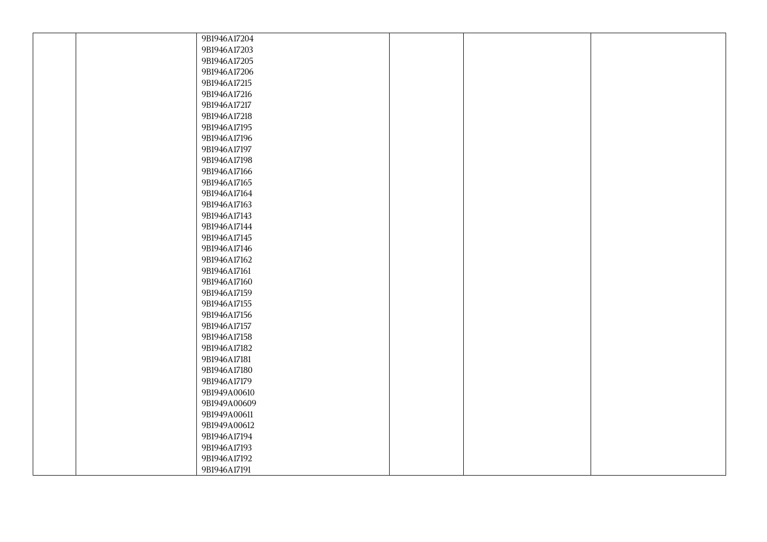|  | 9B1946A17204 |  |  |
|--|--------------|--|--|
|  | 9B1946A17203 |  |  |
|  | 9B1946A17205 |  |  |
|  | 9B1946A17206 |  |  |
|  | 9B1946A17215 |  |  |
|  | 9B1946A17216 |  |  |
|  | 9B1946A17217 |  |  |
|  | 9B1946A17218 |  |  |
|  | 9B1946A17195 |  |  |
|  | 9B1946A17196 |  |  |
|  | 9B1946A17197 |  |  |
|  | 9B1946A17198 |  |  |
|  | 9B1946A17166 |  |  |
|  | 9B1946A17165 |  |  |
|  | 9B1946A17164 |  |  |
|  | 9B1946A17163 |  |  |
|  | 9B1946A17143 |  |  |
|  | 9B1946A17144 |  |  |
|  | 9B1946A17145 |  |  |
|  | 9B1946A17146 |  |  |
|  | 9B1946A17162 |  |  |
|  | 9B1946A17161 |  |  |
|  | 9B1946A17160 |  |  |
|  | 9B1946A17159 |  |  |
|  | 9B1946A17155 |  |  |
|  | 9B1946A17156 |  |  |
|  | 9B1946A17157 |  |  |
|  | 9B1946A17158 |  |  |
|  | 9B1946A17182 |  |  |
|  | 9B1946A17181 |  |  |
|  | 9B1946A17180 |  |  |
|  | 9B1946A17179 |  |  |
|  | 9B1949A00610 |  |  |
|  | 9B1949A00609 |  |  |
|  | 9B1949A00611 |  |  |
|  | 9B1949A00612 |  |  |
|  | 9B1946A17194 |  |  |
|  | 9B1946A17193 |  |  |
|  | 9B1946A17192 |  |  |
|  | 9B1946A17191 |  |  |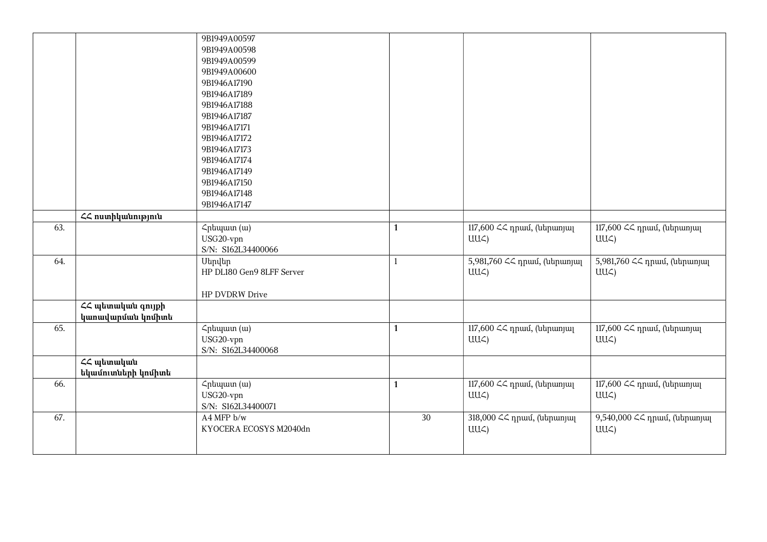|     |                    | 9B1949A00597              |              |                              |                                |
|-----|--------------------|---------------------------|--------------|------------------------------|--------------------------------|
|     |                    | 9B1949A00598              |              |                              |                                |
|     |                    | 9B1949A00599              |              |                              |                                |
|     |                    | 9B1949A00600              |              |                              |                                |
|     |                    | 9B1946A17190              |              |                              |                                |
|     |                    | 9B1946A17189              |              |                              |                                |
|     |                    | 9B1946A17188              |              |                              |                                |
|     |                    | 9B1946A17187              |              |                              |                                |
|     |                    | 9B1946A17171              |              |                              |                                |
|     |                    | 9B1946A17172              |              |                              |                                |
|     |                    | 9B1946A17173              |              |                              |                                |
|     |                    | 9B1946A17174              |              |                              |                                |
|     |                    | 9B1946A17149              |              |                              |                                |
|     |                    | 9B1946A17150              |              |                              |                                |
|     |                    | 9B1946A17148              |              |                              |                                |
|     |                    | 9B1946A17147              |              |                              |                                |
|     | ՀՀ ոստիկանություն  |                           |              |                              |                                |
| 63. |                    | Հրեպատ (ա)                | $\mathbf{1}$ | 117,600 ՀՀ դրամ, (ներառյալ   | 117,600 << դրամ, (ներառյալ     |
|     |                    | USG20-vpn                 |              | $UU\mathcal{L}$              | UU <sub>4</sub>                |
|     |                    | S/N: S162L34400066        |              |                              |                                |
| 64. |                    | <b>Utmultn</b>            | $\mathbf{1}$ | 5,981,760 << npuu, (utpunjuq | 5,981,760 << դրամ, (ներառյալ   |
|     |                    | HP DL180 Gen9 8LFF Server |              | $UU\mathcal{L}$              | UU<)                           |
|     |                    |                           |              |                              |                                |
|     |                    | HP DVDRW Drive            |              |                              |                                |
|     | ՀՀ պետական գույքի  |                           |              |                              |                                |
|     | կաոավարման կոմիտե  |                           |              |                              |                                |
| 65. |                    | Հրեպատ (ա)                | $\mathbf{1}$ | 117,600 << դրամ, (ներառյալ   | 117,600 << npuu, (ներառյալ     |
|     |                    | USG20-vpn                 |              | $UU\mathcal{L}$              | UU <sub>4</sub>                |
|     |                    | S/N: S162L34400068        |              |                              |                                |
|     | ՀՀ պետական         |                           |              |                              |                                |
|     | եկամուտների կոմիտե |                           |              |                              |                                |
| 66. |                    | Հրեպատ (ա)                | $\mathbf{1}$ | 117,600 << դրամ, (ներառյալ   | 117,600 ՀՀ դրամ, (ներառյալ     |
|     |                    | USG20-vpn                 |              | $UU\mathcal{L}$              | UU <sub>4</sub>                |
|     |                    | S/N: S162L34400071        |              |                              |                                |
| 67. |                    |                           |              |                              |                                |
|     |                    | A4 MFP b/w                | $30\,$       | 318,000 << դրամ, (ներառյալ   | 9,540,000 << npuut, (utrpumjuq |
|     |                    | KYOCERA ECOSYS M2040dn    |              | $UU\zeta$                    | UU <sub>4</sub>                |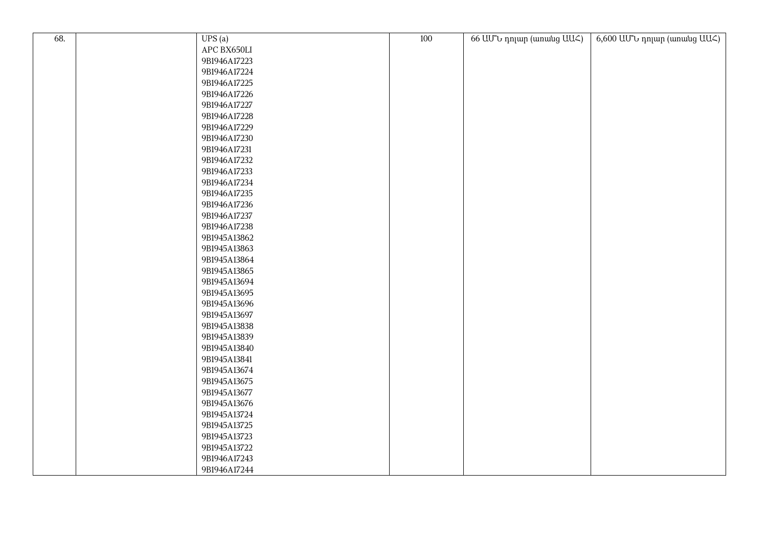| 68. |                       | 100 |                          |                                       |
|-----|-----------------------|-----|--------------------------|---------------------------------------|
|     | UPS(a)<br>APC BX650LI |     | 66 UU v nnun (wnwug UU<) | $6,600$ UU'U nnun (wnwng UU $\zeta$ ) |
|     | 9B1946A17223          |     |                          |                                       |
|     | 9B1946A17224          |     |                          |                                       |
|     | 9B1946A17225          |     |                          |                                       |
|     | 9B1946A17226          |     |                          |                                       |
|     | 9B1946A17227          |     |                          |                                       |
|     | 9B1946A17228          |     |                          |                                       |
|     | 9B1946A17229          |     |                          |                                       |
|     |                       |     |                          |                                       |
|     | 9B1946A17230          |     |                          |                                       |
|     | 9B1946A17231          |     |                          |                                       |
|     | 9B1946A17232          |     |                          |                                       |
|     | 9B1946A17233          |     |                          |                                       |
|     | 9B1946A17234          |     |                          |                                       |
|     | 9B1946A17235          |     |                          |                                       |
|     | 9B1946A17236          |     |                          |                                       |
|     | 9B1946A17237          |     |                          |                                       |
|     | 9B1946A17238          |     |                          |                                       |
|     | 9B1945A13862          |     |                          |                                       |
|     | 9B1945A13863          |     |                          |                                       |
|     | 9B1945A13864          |     |                          |                                       |
|     | 9B1945A13865          |     |                          |                                       |
|     | 9B1945A13694          |     |                          |                                       |
|     | 9B1945A13695          |     |                          |                                       |
|     | 9B1945A13696          |     |                          |                                       |
|     | 9B1945A13697          |     |                          |                                       |
|     | 9B1945A13838          |     |                          |                                       |
|     | 9B1945A13839          |     |                          |                                       |
|     | 9B1945A13840          |     |                          |                                       |
|     | 9B1945A13841          |     |                          |                                       |
|     | 9B1945A13674          |     |                          |                                       |
|     | 9B1945A13675          |     |                          |                                       |
|     | 9B1945A13677          |     |                          |                                       |
|     | 9B1945A13676          |     |                          |                                       |
|     | 9B1945A13724          |     |                          |                                       |
|     | 9B1945A13725          |     |                          |                                       |
|     | 9B1945A13723          |     |                          |                                       |
|     | 9B1945A13722          |     |                          |                                       |
|     | 9B1946A17243          |     |                          |                                       |
|     | 9B1946A17244          |     |                          |                                       |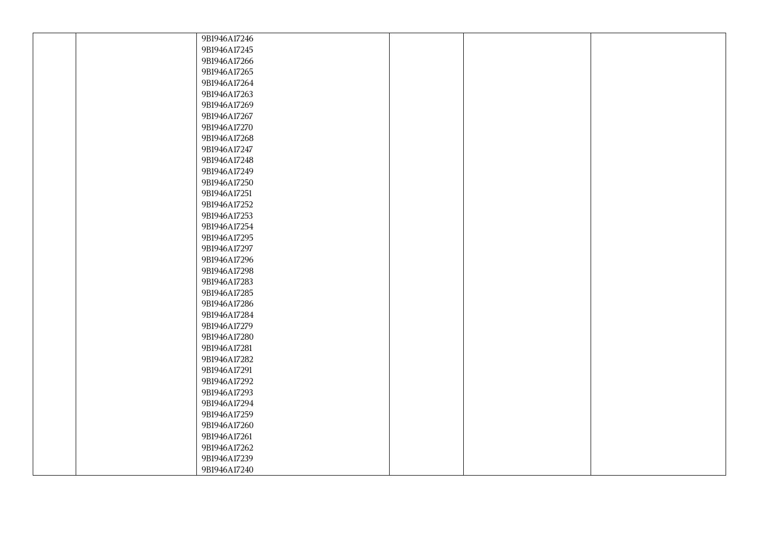| 9B1946A17246 |  |  |
|--------------|--|--|
| 9B1946A17245 |  |  |
| 9B1946A17266 |  |  |
| 9B1946A17265 |  |  |
| 9B1946A17264 |  |  |
| 9B1946A17263 |  |  |
| 9B1946A17269 |  |  |
| 9B1946A17267 |  |  |
| 9B1946A17270 |  |  |
| 9B1946A17268 |  |  |
| 9B1946A17247 |  |  |
| 9B1946A17248 |  |  |
| 9B1946A17249 |  |  |
| 9B1946A17250 |  |  |
| 9B1946A17251 |  |  |
| 9B1946A17252 |  |  |
| 9B1946A17253 |  |  |
| 9B1946A17254 |  |  |
| 9B1946A17295 |  |  |
| 9B1946A17297 |  |  |
| 9B1946A17296 |  |  |
| 9B1946A17298 |  |  |
| 9B1946A17283 |  |  |
| 9B1946A17285 |  |  |
| 9B1946A17286 |  |  |
| 9B1946A17284 |  |  |
| 9B1946A17279 |  |  |
| 9B1946A17280 |  |  |
| 9B1946A17281 |  |  |
| 9B1946A17282 |  |  |
| 9B1946A17291 |  |  |
| 9B1946A17292 |  |  |
| 9B1946A17293 |  |  |
| 9B1946A17294 |  |  |
| 9B1946A17259 |  |  |
| 9B1946A17260 |  |  |
| 9B1946A17261 |  |  |
| 9B1946A17262 |  |  |
| 9B1946A17239 |  |  |
| 9B1946A17240 |  |  |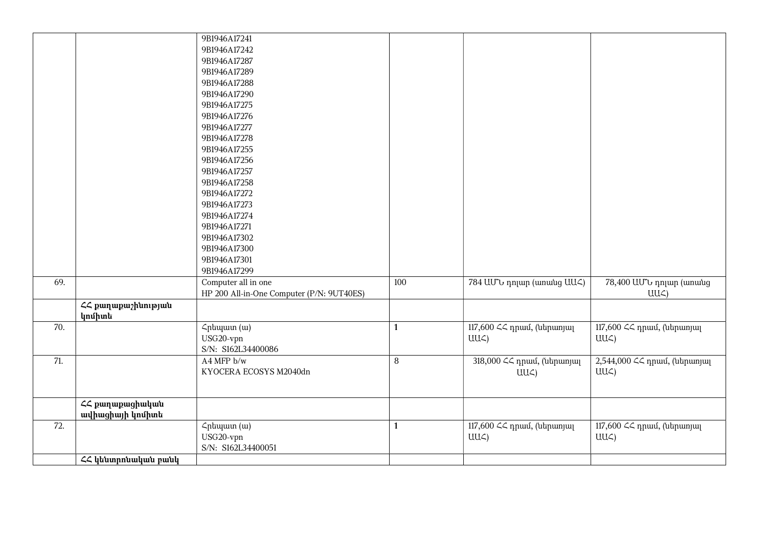|     |                     | 9B1946A17241                              |                  |                            |                              |
|-----|---------------------|-------------------------------------------|------------------|----------------------------|------------------------------|
|     |                     | 9B1946A17242                              |                  |                            |                              |
|     |                     | 9B1946A17287                              |                  |                            |                              |
|     |                     | 9B1946A17289                              |                  |                            |                              |
|     |                     | 9B1946A17288                              |                  |                            |                              |
|     |                     | 9B1946A17290                              |                  |                            |                              |
|     |                     | 9B1946A17275                              |                  |                            |                              |
|     |                     | 9B1946A17276                              |                  |                            |                              |
|     |                     | 9B1946A17277                              |                  |                            |                              |
|     |                     | 9B1946A17278                              |                  |                            |                              |
|     |                     | 9B1946A17255                              |                  |                            |                              |
|     |                     | 9B1946A17256                              |                  |                            |                              |
|     |                     | 9B1946A17257                              |                  |                            |                              |
|     |                     | 9B1946A17258                              |                  |                            |                              |
|     |                     | 9B1946A17272                              |                  |                            |                              |
|     |                     | 9B1946A17273                              |                  |                            |                              |
|     |                     | 9B1946A17274                              |                  |                            |                              |
|     |                     | 9B1946A17271                              |                  |                            |                              |
|     |                     | 9B1946A17302                              |                  |                            |                              |
|     |                     | 9B1946A17300                              |                  |                            |                              |
|     |                     | 9B1946A17301                              |                  |                            |                              |
|     |                     | 9B1946A17299                              |                  |                            |                              |
| 69. |                     | Computer all in one                       | 100              | 784 UU to nnun (wnwug UU ) | 78,400 ԱՄՆ դոլար (առանց      |
|     |                     | HP 200 All-in-One Computer (P/N: 9UT40ES) |                  |                            | UU<)                         |
|     | ՀՀ քաղաքաշինության  |                                           |                  |                            |                              |
|     | կոմիտե              |                                           |                  |                            |                              |
| 70. |                     | Հրեպատ (ա)                                | $\mathbf{1}$     | 117,600 << դրամ, (ներառյալ | 117,600 ՀՀ դրամ, (ներառյալ   |
|     |                     | USG20-vpn                                 |                  | $UU\subset$                | UU <sub>4</sub>              |
|     |                     | S/N: S162L34400086                        |                  |                            |                              |
| 71. |                     | A4 MFP b/w                                | $\boldsymbol{8}$ | 318,000 << դրամ, (ներառյալ | 2,544,000 << npuu, (utpunjuq |
|     |                     | KYOCERA ECOSYS M2040dn                    |                  | $UU\mathcal{L}$            | UU <sub>4</sub>              |
|     |                     |                                           |                  |                            |                              |
|     | ՀՀ քաղաքացիական     |                                           |                  |                            |                              |
|     | ավիացիայի կոմիտե    |                                           |                  |                            |                              |
| 72. |                     | Հրեպատ (ա)                                | $\mathbf{1}$     | 117,600 << դրամ, (ներառյալ | 117,600 << npuu, (ներառյալ   |
|     |                     | USG20-vpn                                 |                  | $UU\subset$                | UU <sub>4</sub>              |
|     |                     | S/N: S162L34400051                        |                  |                            |                              |
|     | ՀՀ կենտրոնական բանկ |                                           |                  |                            |                              |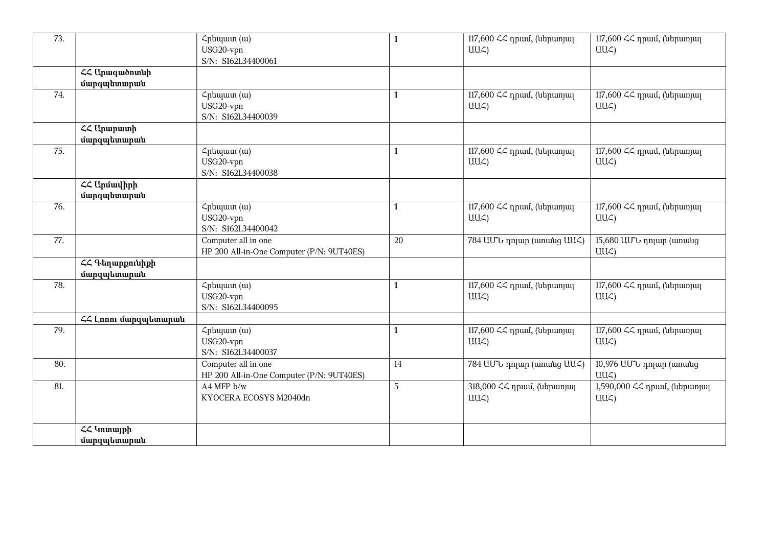| 73. |                                     | Հրեպատ (ա)<br>USG20-vpn<br>S/N: S162L34400061                              | $\mathbf{1}$ | 117,600 $\leq$ npuul, (utipuunjuu<br>UU <sub>4</sub> | 117,600 << դրամ, (ներառյալ<br>UU<)                   |
|-----|-------------------------------------|----------------------------------------------------------------------------|--------------|------------------------------------------------------|------------------------------------------------------|
|     | <b>44 Unuquonuuh</b><br>մարզպետարան |                                                                            |              |                                                      |                                                      |
| 74. |                                     | Հրեպատ (ա)<br>USG20-vpn<br>S/N: S162L34400039                              | $\mathbf{1}$ | 117,600 << դրամ, (ներառյալ<br>$UU\subset$            | 117,600 << դրամ, (ներառյալ<br>UU<)                   |
|     | <b>44 Ununuunh</b><br>մարզպետարան   |                                                                            |              |                                                      |                                                      |
| 75. |                                     | Հրեպատ (ա)<br>USG20-vpn<br>S/N: S162L34400038                              | $\mathbf{1}$ | 117,600 << դրամ, (ներառյալ<br>UU <sub>4</sub>        | 117,600 << դրամ, (ներառյալ<br>$UU\mathcal{L})$       |
|     | ՀՀ Արմավիրի<br>մարզպետարան          |                                                                            |              |                                                      |                                                      |
| 76. |                                     | $\zeta$ <sub>p</sub> t <sub>u</sub> (w)<br>USG20-vpn<br>S/N: S162L34400042 | $\mathbf{1}$ | 117,600 $\leq$ npuul, (utipuunjuu<br>$UU\subset$     | 117,600 << դրամ, (ներառյալ<br>UU<)                   |
| 77. |                                     | Computer all in one<br>HP 200 All-in-One Computer (P/N: 9UT40ES)           | 20           | 784 UU to nnun (wnwug UU )                           | 15,680 UU b nnun (wnwug<br>UU <sub>4</sub>           |
|     | ՀՀ Գեղարքունիքի<br>մարզպետարան      |                                                                            |              |                                                      |                                                      |
| 78. |                                     | $\zeta$ <sub>p</sub> t <sub>u</sub> (w)<br>USG20-vpn<br>S/N: S162L34400095 | $\mathbf{1}$ | 117,600 $\leq$ npuul, (utipuunjuu<br>UU <sub>4</sub> | 117,600 << դրամ, (ներառյալ<br>$UU\mathcal{L}$        |
|     | <b>ՀՀ Լոոու մարզպետարան</b>         |                                                                            |              |                                                      |                                                      |
| 79. |                                     | Հրեպատ (ա)<br>USG20-vpn<br>S/N: S162L34400037                              | $\mathbf{1}$ | 117,600 $\leq$ npuul, (utipuunjuu<br>UU<)            | 117,600 $\leq$ npuul, (utipuunjuu<br>UU <sub>4</sub> |
| 80. |                                     | Computer all in one<br>HP 200 All-in-One Computer (P/N: 9UT40ES)           | 14           | 784 UU v nnun (wnwug UU )                            | 10,976 UU t nnun (wnwug<br>UU <sub>4</sub>           |
| 81. |                                     | A4 MFP b/w<br>KYOCERA ECOSYS M2040dn                                       | 5            | 318,000 ՀՀ դրամ, (ներառյալ<br>UU <sub>4</sub>        | 1,590,000 ՀՀ դրամ, (ներառյալ<br>UU <sub>4</sub>      |
|     | <b>44 Yunnuyph</b><br>մարզպետարան   |                                                                            |              |                                                      |                                                      |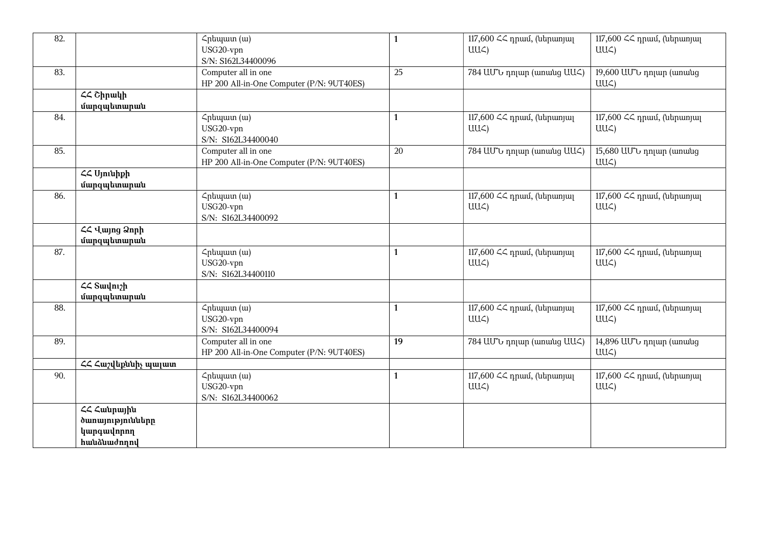| 82. |                                                             | $\zeta$ <sub>p</sub> t <sub>u</sub> (w)<br>USG20-vpn<br>S/N: S162L34400096 | $\mathbf{1}$ | 117,600 ՀՀ դրամ, (ներառյալ<br>$UU\subset$       | 117,600 << դրամ, (ներառյալ<br>UU<)            |
|-----|-------------------------------------------------------------|----------------------------------------------------------------------------|--------------|-------------------------------------------------|-----------------------------------------------|
| 83. |                                                             | Computer all in one<br>HP 200 All-in-One Computer (P/N: 9UT40ES)           | 25           | 784 UU to nnun (womung UU )                     | 19,600 UU to nnun (wnwug<br>UU <sub>4</sub>   |
|     | $\angle\angle$ Chpwyb<br>մարզպետարան                        |                                                                            |              |                                                 |                                               |
| 84. |                                                             | Հրեպատ (ա)<br>USG20-vpn<br>S/N: S162L34400040                              | $\mathbf{1}$ | 117,600 << դրամ, (ներառյալ<br>$UU\subset$       | 117,600 << դրամ, (ներառյալ<br>$UU\mathcal{L}$ |
| 85. |                                                             | Computer all in one<br>HP 200 All-in-One Computer (P/N: 9UT40ES)           | 20           | 784 UU to nnjun (unuung UU )                    | 15,680 UU to nnun (wnwug<br>UU <sub>4</sub>   |
|     | <b>44 Ujniuhph</b><br>մարզպետարան                           |                                                                            |              |                                                 |                                               |
| 86. |                                                             | Հրեպատ (ա)<br>USG20-vpn<br>S/N: S162L34400092                              | $\mathbf{1}$ | 117,600 $\leq$ npuul, (utipunjul<br>$UU\subset$ | 117,600 << դրամ, (ներառյալ<br>UU<)            |
|     | ՀՀ Վայոց Ձորի<br>մարզպետարան                                |                                                                            |              |                                                 |                                               |
| 87. |                                                             | Հրեպատ (ա)<br>USG20-vpn<br>S/N: S162L34400110                              | $\mathbf{1}$ | 117,600 $\leq$ npuul, (utipunjul<br>$UU\subset$ | 117,600 << դրամ, (ներառյալ<br>$UU\zeta$       |
|     | <b>44 Swynigh</b><br>մարզպետարան                            |                                                                            |              |                                                 |                                               |
| 88. |                                                             | Հրեպատ (ա)<br>USG20-vpn<br>S/N: S162L34400094                              | $\mathbf{1}$ | 117,600 $\leq$ npuul, (utipunjul<br>$UU\subset$ | 117,600 << դրամ, (ներառյալ<br>$UU\mathcal{L}$ |
| 89. |                                                             | Computer all in one<br>HP 200 All-in-One Computer (P/N: 9UT40ES)           | 19           | 784 UU v nnun (wnwug UU )                       | 14,896 UU t nnun (wnwug<br>UU <sub>4</sub>    |
|     | ՀՀ Հաշվեքննիչ պալատ                                         |                                                                            |              |                                                 |                                               |
| 90. |                                                             | Հրեպատ (ա)<br>USG20-vpn<br>S/N: S162L34400062                              | $\mathbf{1}$ | 117,600 << դրամ, (ներառյալ<br>$UU\subset$       | 117,600 << npuu, (ներառյալ<br>UU <sub>4</sub> |
|     | ՀՀ Հանրային<br>ծառայությունները<br>կարգավորող<br>hwuaudnnny |                                                                            |              |                                                 |                                               |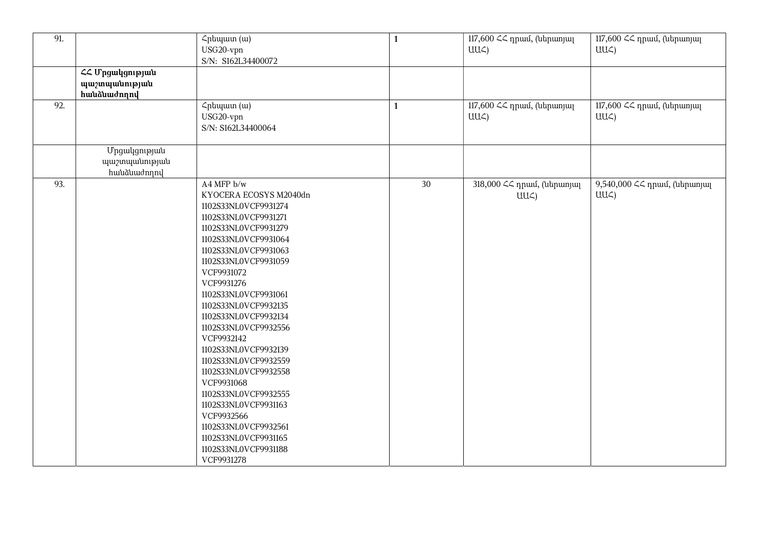| 91. |                                                 | Հրեպատ (ա)<br>USG20-vpn<br>S/N: S162L34400072                                                                                                                                                                                                                                                                                                                                                                                                                                                                                                                            | $\mathbf{1}$ | 117,600 ՀՀ դրամ, (ներառյալ<br>$UU\subset$     | 117,600 ՀՀ դրամ, (ներառյալ<br>$UU\subset$   |
|-----|-------------------------------------------------|--------------------------------------------------------------------------------------------------------------------------------------------------------------------------------------------------------------------------------------------------------------------------------------------------------------------------------------------------------------------------------------------------------------------------------------------------------------------------------------------------------------------------------------------------------------------------|--------------|-----------------------------------------------|---------------------------------------------|
|     | ՀՀ Մրցակցության<br>պաշտպանության<br>hwuauwdnnny |                                                                                                                                                                                                                                                                                                                                                                                                                                                                                                                                                                          |              |                                               |                                             |
| 92. |                                                 | Հրեպատ (ա)<br>USG20-vpn<br>S/N: S162L34400064                                                                                                                                                                                                                                                                                                                                                                                                                                                                                                                            | $\mathbf{1}$ | 117,600 << դրամ, (ներառյալ<br>$UU\zeta$       | 117,600 << դրամ, (ներառյալ<br>$UU\subset$   |
|     | Մրցակցության<br>պաշտպանության<br>huuudnnnl      |                                                                                                                                                                                                                                                                                                                                                                                                                                                                                                                                                                          |              |                                               |                                             |
| 93. |                                                 | A4 MFP b/w<br>KYOCERA ECOSYS M2040dn<br>1102S33NL0VCF9931274<br>1102S33NL0VCF9931271<br>1102S33NL0VCF9931279<br>1102S33NL0VCF9931064<br>1102S33NL0VCF9931063<br>1102S33NL0VCF9931059<br>VCF9931072<br>VCF9931276<br>1102S33NL0VCF9931061<br>1102S33NL0VCF9932135<br>1102S33NL0VCF9932134<br>1102S33NL0VCF9932556<br>VCF9932142<br>1102S33NL0VCF9932139<br>1102S33NL0VCF9932559<br>1102S33NL0VCF9932558<br>VCF9931068<br>1102S33NL0VCF9932555<br>1102S33NL0VCF9931163<br>VCF9932566<br>1102S33NL0VCF9932561<br>1102S33NL0VCF9931165<br>1102S33NL0VCF9931188<br>VCF9931278 | 30           | 318,000 << դրամ, (ներառյալ<br>$UU\mathcal{L}$ | 9,540,000 << npuu, (utpunjuq<br>$UU\subset$ |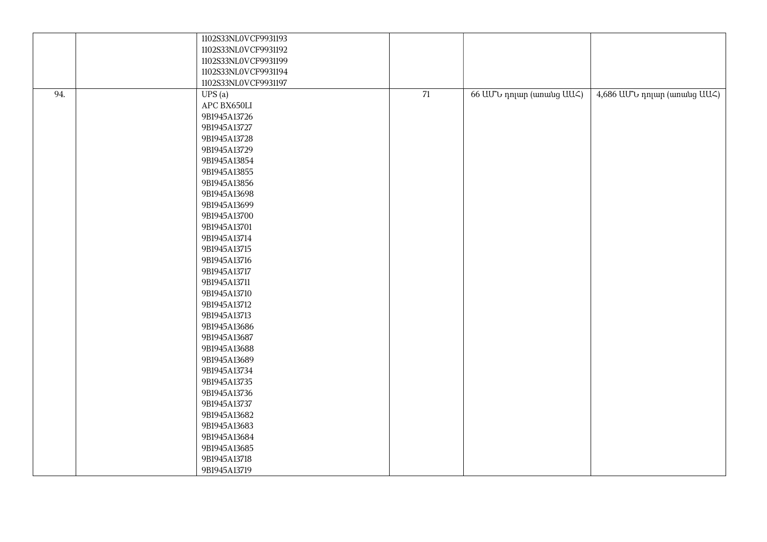|     | 1102S33NL0VCF9931193 |                 |                          |                               |
|-----|----------------------|-----------------|--------------------------|-------------------------------|
|     | 1102S33NL0VCF9931192 |                 |                          |                               |
|     | 1102S33NL0VCF9931199 |                 |                          |                               |
|     | 1102S33NL0VCF9931194 |                 |                          |                               |
|     | 1102S33NL0VCF9931197 |                 |                          |                               |
| 94. | UPS(a)               | $\overline{71}$ | 66 UU v nnun (wnwug UU ) | 4,686 UU to nnun (wnwug UU <) |
|     | APC BX650LI          |                 |                          |                               |
|     | 9B1945A13726         |                 |                          |                               |
|     | 9B1945A13727         |                 |                          |                               |
|     | 9B1945A13728         |                 |                          |                               |
|     | 9B1945A13729         |                 |                          |                               |
|     | 9B1945A13854         |                 |                          |                               |
|     | 9B1945A13855         |                 |                          |                               |
|     | 9B1945A13856         |                 |                          |                               |
|     | 9B1945A13698         |                 |                          |                               |
|     | 9B1945A13699         |                 |                          |                               |
|     | 9B1945A13700         |                 |                          |                               |
|     | 9B1945A13701         |                 |                          |                               |
|     | 9B1945A13714         |                 |                          |                               |
|     | 9B1945A13715         |                 |                          |                               |
|     | 9B1945A13716         |                 |                          |                               |
|     | 9B1945A13717         |                 |                          |                               |
|     | 9B1945A13711         |                 |                          |                               |
|     | 9B1945A13710         |                 |                          |                               |
|     | 9B1945A13712         |                 |                          |                               |
|     | 9B1945A13713         |                 |                          |                               |
|     | 9B1945A13686         |                 |                          |                               |
|     | 9B1945A13687         |                 |                          |                               |
|     | 9B1945A13688         |                 |                          |                               |
|     | 9B1945A13689         |                 |                          |                               |
|     | 9B1945A13734         |                 |                          |                               |
|     | 9B1945A13735         |                 |                          |                               |
|     | 9B1945A13736         |                 |                          |                               |
|     | 9B1945A13737         |                 |                          |                               |
|     | 9B1945A13682         |                 |                          |                               |
|     | 9B1945A13683         |                 |                          |                               |
|     | 9B1945A13684         |                 |                          |                               |
|     | 9B1945A13685         |                 |                          |                               |
|     | 9B1945A13718         |                 |                          |                               |
|     | 9B1945A13719         |                 |                          |                               |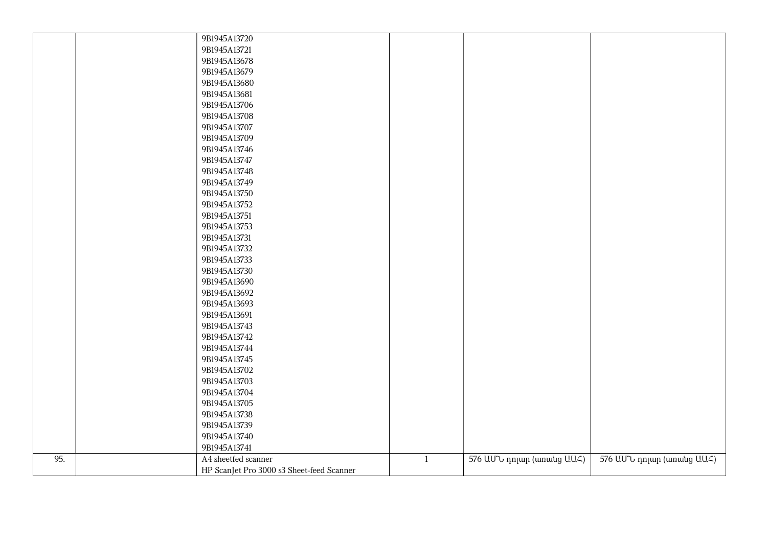|     | 9B1945A13720                              |              |                            |                            |
|-----|-------------------------------------------|--------------|----------------------------|----------------------------|
|     | 9B1945A13721                              |              |                            |                            |
|     | 9B1945A13678                              |              |                            |                            |
|     | 9B1945A13679                              |              |                            |                            |
|     | 9B1945A13680                              |              |                            |                            |
|     | 9B1945A13681                              |              |                            |                            |
|     | 9B1945A13706                              |              |                            |                            |
|     | 9B1945A13708                              |              |                            |                            |
|     | 9B1945A13707                              |              |                            |                            |
|     | 9B1945A13709                              |              |                            |                            |
|     | 9B1945A13746                              |              |                            |                            |
|     | 9B1945A13747                              |              |                            |                            |
|     | 9B1945A13748                              |              |                            |                            |
|     | 9B1945A13749                              |              |                            |                            |
|     | 9B1945A13750                              |              |                            |                            |
|     | 9B1945A13752                              |              |                            |                            |
|     | 9B1945A13751                              |              |                            |                            |
|     | 9B1945A13753                              |              |                            |                            |
|     | 9B1945A13731                              |              |                            |                            |
|     | 9B1945A13732                              |              |                            |                            |
|     | 9B1945A13733                              |              |                            |                            |
|     | 9B1945A13730                              |              |                            |                            |
|     | 9B1945A13690                              |              |                            |                            |
|     | 9B1945A13692                              |              |                            |                            |
|     | 9B1945A13693                              |              |                            |                            |
|     | 9B1945A13691                              |              |                            |                            |
|     | 9B1945A13743                              |              |                            |                            |
|     | 9B1945A13742                              |              |                            |                            |
|     | 9B1945A13744                              |              |                            |                            |
|     | 9B1945A13745                              |              |                            |                            |
|     | 9B1945A13702                              |              |                            |                            |
|     | 9B1945A13703                              |              |                            |                            |
|     | 9B1945A13704                              |              |                            |                            |
|     | 9B1945A13705                              |              |                            |                            |
|     | 9B1945A13738                              |              |                            |                            |
|     | 9B1945A13739                              |              |                            |                            |
|     | 9B1945A13740                              |              |                            |                            |
|     | 9B1945A13741                              |              |                            |                            |
| 95. | A4 sheetfed scanner                       | $\mathbf{1}$ | 576 UU to nnun (wnwug UU ) | 576 UU to nnun (wnwug UU ) |
|     | HP ScanJet Pro 3000 s3 Sheet-feed Scanner |              |                            |                            |
|     |                                           |              |                            |                            |